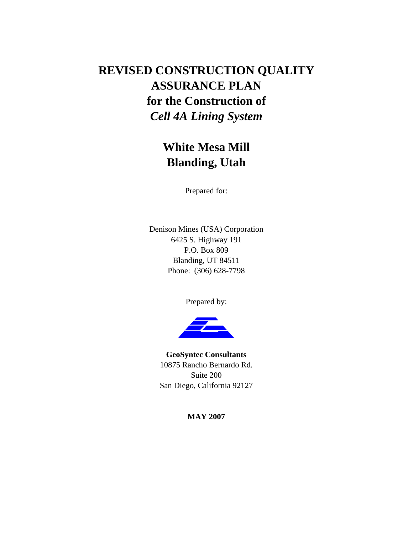# **REVISED CONSTRUCTION QUALITY ASSURANCE PLAN for the Construction of**  *Cell 4A Lining System*

## **White Mesa Mill Blanding, Utah**

Prepared for:

Denison Mines (USA) Corporation 6425 S. Highway 191 P.O. Box 809 Blanding, UT 84511 Phone: (306) 628-7798

Prepared by:



**GeoSyntec Consultants**  10875 Rancho Bernardo Rd. Suite 200 San Diego, California 92127

**MAY 2007**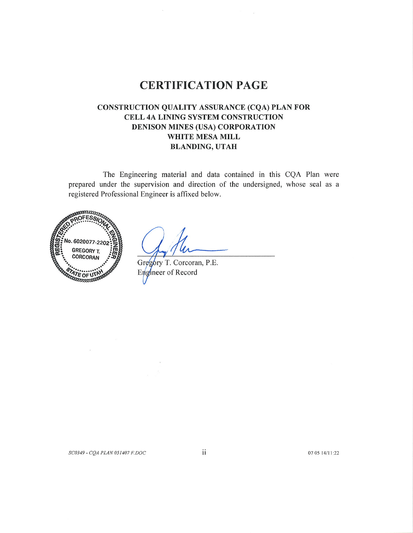## **CERTIFICATION PAGE**

## CONSTRUCTION QUALITY ASSURANCE (CQA) PLAN FOR CELL 4A LINING SYSTEM CONSTRUCTION DENISON MINES (USA) CORPORATION WHITE MESA MILL **BLANDING, UTAH**

The Engineering material and data contained in this CQA Plan were prepared under the supervision and direction of the undersigned, whose seal as a registered Professional Engineer is affixed below.



 $\ddot{\phantom{a}}$ 

Gregory T. Corcoran, P.E. Engineer of Record

07 05 14/11:22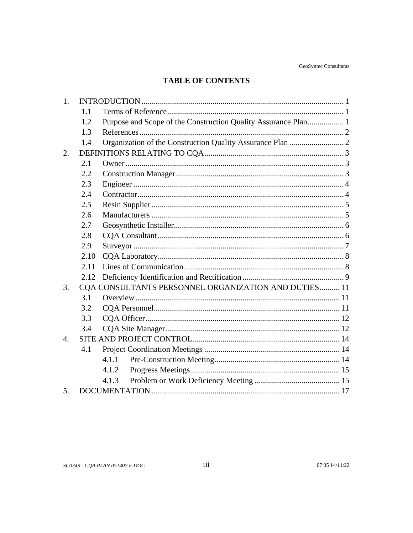## **TABLE OF CONTENTS**

| 1.               |      |                                                                |  |
|------------------|------|----------------------------------------------------------------|--|
|                  | 1.1  |                                                                |  |
|                  | 1.2  | Purpose and Scope of the Construction Quality Assurance Plan 1 |  |
|                  | 1.3  |                                                                |  |
|                  | 1.4  |                                                                |  |
| 2.               |      |                                                                |  |
|                  | 2.1  |                                                                |  |
|                  | 2.2  |                                                                |  |
|                  | 2.3  |                                                                |  |
|                  | 2.4  |                                                                |  |
|                  | 2.5  |                                                                |  |
|                  | 2.6  |                                                                |  |
|                  | 2.7  |                                                                |  |
|                  | 2.8  |                                                                |  |
|                  | 2.9  |                                                                |  |
|                  | 2.10 |                                                                |  |
|                  | 2.11 |                                                                |  |
|                  | 2.12 |                                                                |  |
| 3.               |      | CQA CONSULTANTS PERSONNEL ORGANIZATION AND DUTIES 11           |  |
|                  | 3.1  |                                                                |  |
|                  | 3.2  |                                                                |  |
|                  | 3.3  |                                                                |  |
|                  | 3.4  |                                                                |  |
| $\overline{4}$ . |      |                                                                |  |
|                  | 4.1  |                                                                |  |
|                  |      | 4.1.1                                                          |  |
|                  |      | 4.1.2                                                          |  |
|                  |      | 4.1.3                                                          |  |
| 5.               |      |                                                                |  |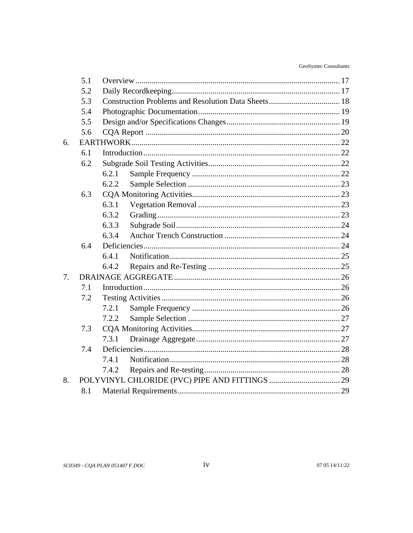|    | 5.1 |       |  |  |
|----|-----|-------|--|--|
|    | 5.2 |       |  |  |
|    | 5.3 |       |  |  |
|    | 5.4 |       |  |  |
|    | 5.5 |       |  |  |
|    | 5.6 |       |  |  |
| 6. |     |       |  |  |
|    | 6.1 |       |  |  |
|    | 6.2 |       |  |  |
|    |     | 6.2.1 |  |  |
|    |     | 6.2.2 |  |  |
|    | 6.3 |       |  |  |
|    |     | 6.3.1 |  |  |
|    |     | 6.3.2 |  |  |
|    |     | 6.3.3 |  |  |
|    |     | 6.3.4 |  |  |
|    | 6.4 |       |  |  |
|    |     | 6.4.1 |  |  |
|    |     | 6.4.2 |  |  |
| 7. |     |       |  |  |
|    | 7.1 |       |  |  |
|    | 7.2 |       |  |  |
|    |     | 7.2.1 |  |  |
|    |     | 7.2.2 |  |  |
|    | 7.3 |       |  |  |
|    |     | 7.3.1 |  |  |
|    | 7.4 |       |  |  |
|    |     | 7.4.1 |  |  |
|    |     | 7.4.2 |  |  |
| 8. |     |       |  |  |
|    | 8.1 |       |  |  |
|    |     |       |  |  |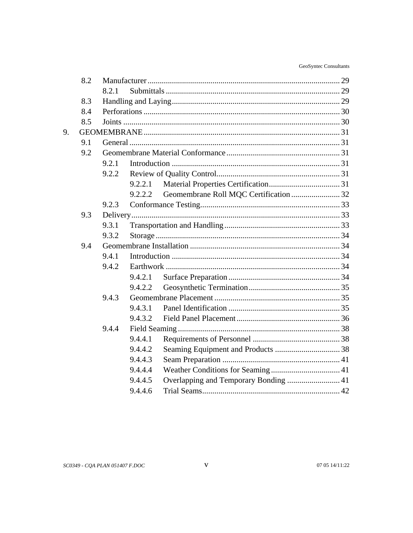|    | 8.2 |       |         |                                        |  |  |
|----|-----|-------|---------|----------------------------------------|--|--|
|    |     | 8.2.1 |         |                                        |  |  |
|    | 8.3 |       |         |                                        |  |  |
|    | 8.4 |       |         |                                        |  |  |
|    | 8.5 |       |         |                                        |  |  |
| 9. |     |       |         |                                        |  |  |
|    | 9.1 |       |         |                                        |  |  |
|    | 9.2 |       |         |                                        |  |  |
|    |     | 9.2.1 |         |                                        |  |  |
|    |     | 9.2.2 |         |                                        |  |  |
|    |     |       | 9.2.2.1 |                                        |  |  |
|    |     |       | 9.2.2.2 | Geomembrane Roll MQC Certification  32 |  |  |
|    |     | 9.2.3 |         |                                        |  |  |
|    | 9.3 |       |         |                                        |  |  |
|    |     | 9.3.1 |         |                                        |  |  |
|    |     | 9.3.2 |         |                                        |  |  |
|    | 9.4 |       |         |                                        |  |  |
|    |     | 9.4.1 |         |                                        |  |  |
|    |     | 9.4.2 |         |                                        |  |  |
|    |     |       | 9.4.2.1 |                                        |  |  |
|    |     |       | 9.4.2.2 |                                        |  |  |
|    |     | 9.4.3 |         |                                        |  |  |
|    |     |       | 9.4.3.1 |                                        |  |  |
|    |     |       | 9.4.3.2 |                                        |  |  |
|    |     | 9.4.4 |         |                                        |  |  |
|    |     |       | 9.4.4.1 |                                        |  |  |
|    |     |       | 9.4.4.2 |                                        |  |  |
|    |     |       | 9.4.4.3 |                                        |  |  |
|    |     |       | 9.4.4.4 |                                        |  |  |
|    |     |       | 9.4.4.5 |                                        |  |  |
|    |     |       | 9.4.4.6 |                                        |  |  |
|    |     |       |         |                                        |  |  |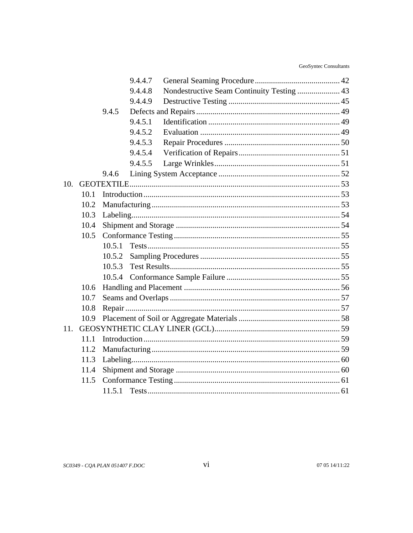|     |      |        | 9.4.4.7 |                                            |  |
|-----|------|--------|---------|--------------------------------------------|--|
|     |      |        | 9.4.4.8 | Nondestructive Seam Continuity Testing  43 |  |
|     |      |        | 9.4.4.9 |                                            |  |
|     |      | 9.4.5  |         |                                            |  |
|     |      |        | 9.4.5.1 |                                            |  |
|     |      |        | 9.4.5.2 |                                            |  |
|     |      |        | 9.4.5.3 |                                            |  |
|     |      |        | 9.4.5.4 |                                            |  |
|     |      |        | 9.4.5.5 |                                            |  |
|     |      | 9.4.6  |         |                                            |  |
| 10. |      |        |         |                                            |  |
|     | 10.1 |        |         |                                            |  |
|     | 10.2 |        |         |                                            |  |
|     | 10.3 |        |         |                                            |  |
|     | 10.4 |        |         |                                            |  |
|     | 10.5 |        |         |                                            |  |
|     |      | 10.5.1 |         |                                            |  |
|     |      | 10.5.2 |         |                                            |  |
|     |      | 10.5.3 |         |                                            |  |
|     |      | 10.5.4 |         |                                            |  |
|     | 10.6 |        |         |                                            |  |
|     | 10.7 |        |         |                                            |  |
|     | 10.8 |        |         |                                            |  |
|     | 10.9 |        |         |                                            |  |
| 11. |      |        |         |                                            |  |
|     | 11.1 |        |         |                                            |  |
|     | 11.2 |        |         |                                            |  |
|     | 11.3 |        |         |                                            |  |
|     | 11.4 |        |         |                                            |  |
|     | 11.5 |        |         |                                            |  |
|     |      | 11.5.1 |         |                                            |  |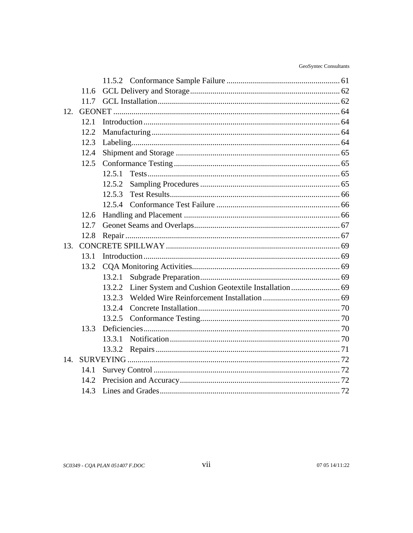|      | 11.6 |        |  |  |  |
|------|------|--------|--|--|--|
|      | 11.7 |        |  |  |  |
| 12.  |      |        |  |  |  |
|      | 12.1 |        |  |  |  |
|      | 12.2 |        |  |  |  |
|      | 12.3 |        |  |  |  |
|      | 12.4 |        |  |  |  |
|      | 12.5 |        |  |  |  |
|      |      | 12.5.1 |  |  |  |
|      |      | 12.5.2 |  |  |  |
|      |      | 12.5.3 |  |  |  |
|      |      | 12.5.4 |  |  |  |
|      | 12.6 |        |  |  |  |
|      | 12.7 |        |  |  |  |
|      | 12.8 |        |  |  |  |
| 13.  |      |        |  |  |  |
|      | 13.1 |        |  |  |  |
|      | 13.2 |        |  |  |  |
|      |      | 13.2.1 |  |  |  |
|      |      | 13.2.2 |  |  |  |
|      |      | 13.2.3 |  |  |  |
|      |      | 13.2.4 |  |  |  |
|      |      |        |  |  |  |
|      | 13.3 |        |  |  |  |
|      |      | 13.3.1 |  |  |  |
|      |      | 13.3.2 |  |  |  |
| 14.  |      |        |  |  |  |
|      | 14.1 |        |  |  |  |
| 14.2 |      |        |  |  |  |
|      | 14.3 |        |  |  |  |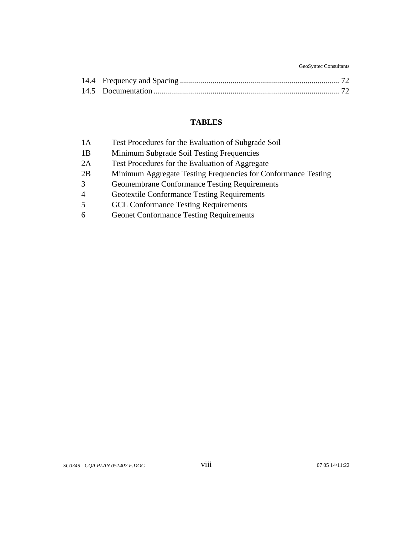GeoSyntec Consultants

## **TABLES**

| 1A             | Test Procedures for the Evaluation of Subgrade Soil           |
|----------------|---------------------------------------------------------------|
| 1B             | Minimum Subgrade Soil Testing Frequencies                     |
| 2A             | Test Procedures for the Evaluation of Aggregate               |
| 2B             | Minimum Aggregate Testing Frequencies for Conformance Testing |
| 3              | <b>Geomembrane Conformance Testing Requirements</b>           |
| $\overline{4}$ | <b>Geotextile Conformance Testing Requirements</b>            |
| 5              | <b>GCL Conformance Testing Requirements</b>                   |
| 6              | <b>Geonet Conformance Testing Requirements</b>                |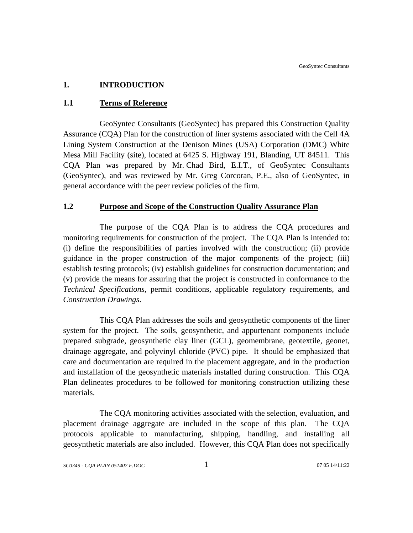## <span id="page-8-0"></span>**1. INTRODUCTION**

## **1.1 Terms of Reference**

GeoSyntec Consultants (GeoSyntec) has prepared this Construction Quality Assurance (CQA) Plan for the construction of liner systems associated with the Cell 4A Lining System Construction at the Denison Mines (USA) Corporation (DMC) White Mesa Mill Facility (site), located at 6425 S. Highway 191, Blanding, UT 84511. This CQA Plan was prepared by Mr. Chad Bird, E.I.T., of GeoSyntec Consultants (GeoSyntec), and was reviewed by Mr. Greg Corcoran, P.E., also of GeoSyntec, in general accordance with the peer review policies of the firm.

## **1.2 Purpose and Scope of the Construction Quality Assurance Plan**

The purpose of the CQA Plan is to address the CQA procedures and monitoring requirements for construction of the project. The CQA Plan is intended to: (i) define the responsibilities of parties involved with the construction; (ii) provide guidance in the proper construction of the major components of the project; (iii) establish testing protocols; (iv) establish guidelines for construction documentation; and (v) provide the means for assuring that the project is constructed in conformance to the *Technical Specifications*, permit conditions, applicable regulatory requirements, and *Construction Drawings*.

This CQA Plan addresses the soils and geosynthetic components of the liner system for the project. The soils, geosynthetic, and appurtenant components include prepared subgrade, geosynthetic clay liner (GCL), geomembrane, geotextile, geonet, drainage aggregate, and polyvinyl chloride (PVC) pipe. It should be emphasized that care and documentation are required in the placement aggregate, and in the production and installation of the geosynthetic materials installed during construction. This CQA Plan delineates procedures to be followed for monitoring construction utilizing these materials.

The CQA monitoring activities associated with the selection, evaluation, and placement drainage aggregate are included in the scope of this plan. The CQA protocols applicable to manufacturing, shipping, handling, and installing all geosynthetic materials are also included. However, this CQA Plan does not specifically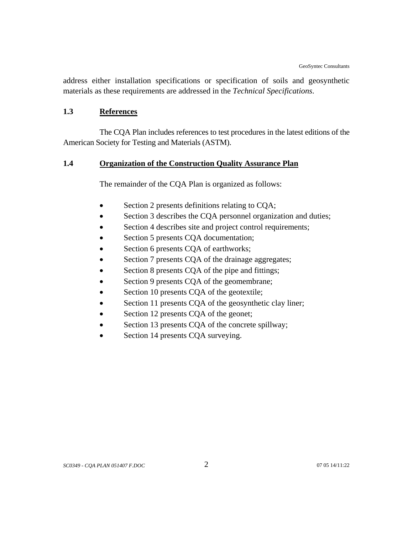<span id="page-9-0"></span>address either installation specifications or specification of soils and geosynthetic materials as these requirements are addressed in the *Technical Specifications*.

#### **1.3 References**

The CQA Plan includes references to test procedures in the latest editions of the American Society for Testing and Materials (ASTM).

## **1.4 Organization of the Construction Quality Assurance Plan**

The remainder of the CQA Plan is organized as follows:

- Section 2 presents definitions relating to CQA;
- Section 3 describes the CQA personnel organization and duties;
- Section 4 describes site and project control requirements;
- Section 5 presents CQA documentation;
- Section 6 presents CQA of earthworks;
- Section 7 presents CQA of the drainage aggregates;
- Section 8 presents CQA of the pipe and fittings;
- Section 9 presents CQA of the geomembrane;
- Section 10 presents CQA of the geotextile;
- Section 11 presents CQA of the geosynthetic clay liner;
- Section 12 presents CQA of the geonet;
- Section 13 presents CQA of the concrete spillway;
- Section 14 presents CQA surveying.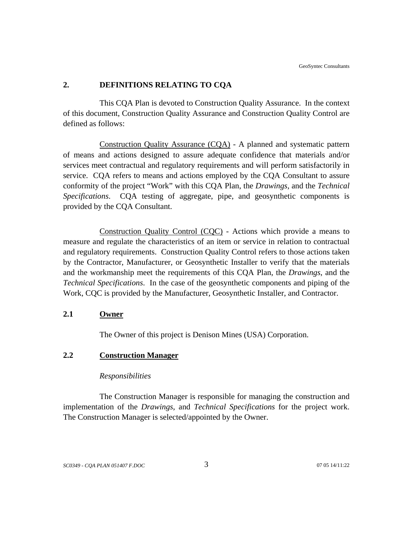## <span id="page-10-0"></span>**2. DEFINITIONS RELATING TO CQA**

This CQA Plan is devoted to Construction Quality Assurance. In the context of this document, Construction Quality Assurance and Construction Quality Control are defined as follows:

Construction Quality Assurance (CQA) - A planned and systematic pattern of means and actions designed to assure adequate confidence that materials and/or services meet contractual and regulatory requirements and will perform satisfactorily in service. CQA refers to means and actions employed by the CQA Consultant to assure conformity of the project "Work" with this CQA Plan, the *Drawings*, and the *Technical Specifications*. CQA testing of aggregate, pipe, and geosynthetic components is provided by the CQA Consultant.

Construction Quality Control (CQC) - Actions which provide a means to measure and regulate the characteristics of an item or service in relation to contractual and regulatory requirements. Construction Quality Control refers to those actions taken by the Contractor, Manufacturer, or Geosynthetic Installer to verify that the materials and the workmanship meet the requirements of this CQA Plan, the *Drawings*, and the *Technical Specifications*. In the case of the geosynthetic components and piping of the Work, CQC is provided by the Manufacturer, Geosynthetic Installer, and Contractor.

#### **2.1 Owner**

The Owner of this project is Denison Mines (USA) Corporation.

## **2.2 Construction Manager**

#### *Responsibilities*

The Construction Manager is responsible for managing the construction and implementation of the *Drawings*, and *Technical Specifications* for the project work. The Construction Manager is selected/appointed by the Owner.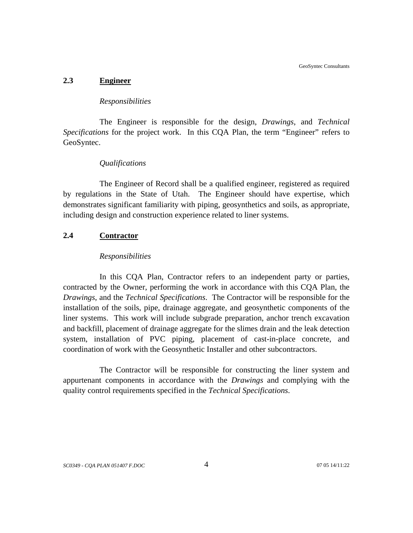GeoSyntec Consultants

#### <span id="page-11-0"></span>**2.3 Engineer**

#### *Responsibilities*

The Engineer is responsible for the design, *Drawings*, and *Technical Specifications* for the project work. In this CQA Plan, the term "Engineer" refers to GeoSyntec.

## *Qualifications*

The Engineer of Record shall be a qualified engineer, registered as required by regulations in the State of Utah. The Engineer should have expertise, which demonstrates significant familiarity with piping, geosynthetics and soils, as appropriate, including design and construction experience related to liner systems.

## **2.4 Contractor**

## *Responsibilities*

In this CQA Plan, Contractor refers to an independent party or parties, contracted by the Owner, performing the work in accordance with this CQA Plan, the *Drawings*, and the *Technical Specifications*. The Contractor will be responsible for the installation of the soils, pipe, drainage aggregate, and geosynthetic components of the liner systems. This work will include subgrade preparation, anchor trench excavation and backfill, placement of drainage aggregate for the slimes drain and the leak detection system, installation of PVC piping, placement of cast-in-place concrete, and coordination of work with the Geosynthetic Installer and other subcontractors.

The Contractor will be responsible for constructing the liner system and appurtenant components in accordance with the *Drawings* and complying with the quality control requirements specified in the *Technical Specifications*.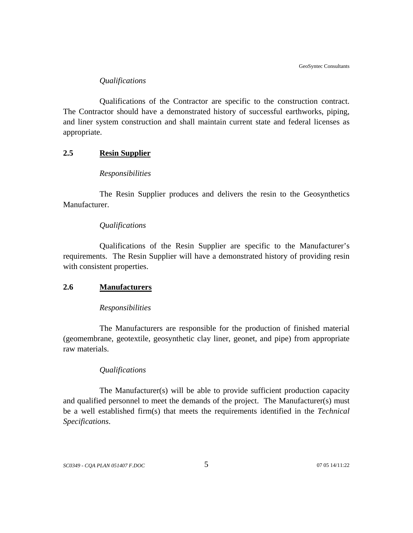## *Qualifications*

<span id="page-12-0"></span>Qualifications of the Contractor are specific to the construction contract. The Contractor should have a demonstrated history of successful earthworks, piping, and liner system construction and shall maintain current state and federal licenses as appropriate.

## **2.5 Resin Supplier**

#### *Responsibilities*

The Resin Supplier produces and delivers the resin to the Geosynthetics Manufacturer.

#### *Qualifications*

Qualifications of the Resin Supplier are specific to the Manufacturer's requirements. The Resin Supplier will have a demonstrated history of providing resin with consistent properties.

#### **2.6 Manufacturers**

#### *Responsibilities*

The Manufacturers are responsible for the production of finished material (geomembrane, geotextile, geosynthetic clay liner, geonet, and pipe) from appropriate raw materials.

#### *Qualifications*

The Manufacturer(s) will be able to provide sufficient production capacity and qualified personnel to meet the demands of the project. The Manufacturer(s) must be a well established firm(s) that meets the requirements identified in the *Technical Specifications*.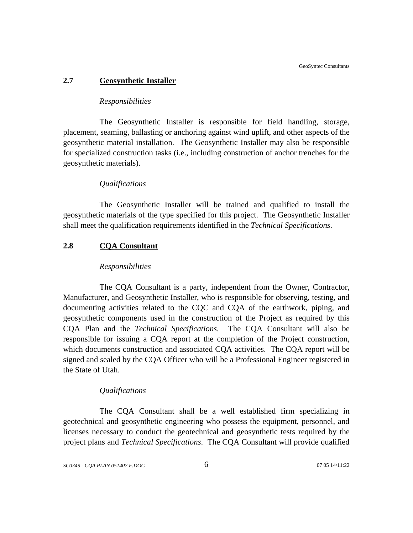#### <span id="page-13-0"></span>**2.7 Geosynthetic Installer**

#### *Responsibilities*

The Geosynthetic Installer is responsible for field handling, storage, placement, seaming, ballasting or anchoring against wind uplift, and other aspects of the geosynthetic material installation. The Geosynthetic Installer may also be responsible for specialized construction tasks (i.e., including construction of anchor trenches for the geosynthetic materials).

#### *Qualifications*

The Geosynthetic Installer will be trained and qualified to install the geosynthetic materials of the type specified for this project. The Geosynthetic Installer shall meet the qualification requirements identified in the *Technical Specifications*.

## **2.8 CQA Consultant**

#### *Responsibilities*

The CQA Consultant is a party, independent from the Owner, Contractor, Manufacturer, and Geosynthetic Installer, who is responsible for observing, testing, and documenting activities related to the CQC and CQA of the earthwork, piping, and geosynthetic components used in the construction of the Project as required by this CQA Plan and the *Technical Specifications*. The CQA Consultant will also be responsible for issuing a CQA report at the completion of the Project construction, which documents construction and associated CQA activities. The CQA report will be signed and sealed by the CQA Officer who will be a Professional Engineer registered in the State of Utah.

#### *Qualifications*

The CQA Consultant shall be a well established firm specializing in geotechnical and geosynthetic engineering who possess the equipment, personnel, and licenses necessary to conduct the geotechnical and geosynthetic tests required by the project plans and *Technical Specifications*. The CQA Consultant will provide qualified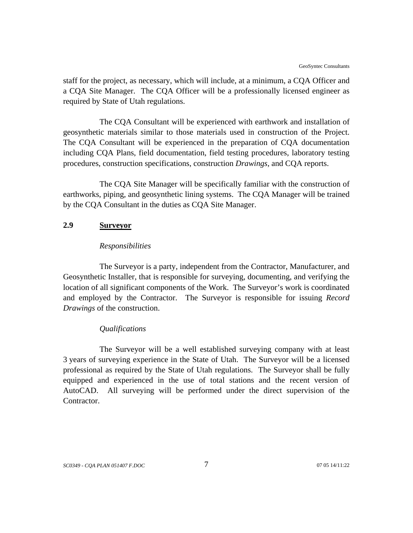<span id="page-14-0"></span>staff for the project, as necessary, which will include, at a minimum, a CQA Officer and a CQA Site Manager. The CQA Officer will be a professionally licensed engineer as required by State of Utah regulations.

The CQA Consultant will be experienced with earthwork and installation of geosynthetic materials similar to those materials used in construction of the Project. The CQA Consultant will be experienced in the preparation of CQA documentation including CQA Plans, field documentation, field testing procedures, laboratory testing procedures, construction specifications, construction *Drawings*, and CQA reports.

The CQA Site Manager will be specifically familiar with the construction of earthworks, piping, and geosynthetic lining systems. The CQA Manager will be trained by the CQA Consultant in the duties as CQA Site Manager.

#### **2.9 Surveyor**

#### *Responsibilities*

The Surveyor is a party, independent from the Contractor, Manufacturer, and Geosynthetic Installer, that is responsible for surveying, documenting, and verifying the location of all significant components of the Work. The Surveyor's work is coordinated and employed by the Contractor. The Surveyor is responsible for issuing *Record Drawings* of the construction.

#### *Qualifications*

The Surveyor will be a well established surveying company with at least 3 years of surveying experience in the State of Utah. The Surveyor will be a licensed professional as required by the State of Utah regulations. The Surveyor shall be fully equipped and experienced in the use of total stations and the recent version of AutoCAD. All surveying will be performed under the direct supervision of the Contractor.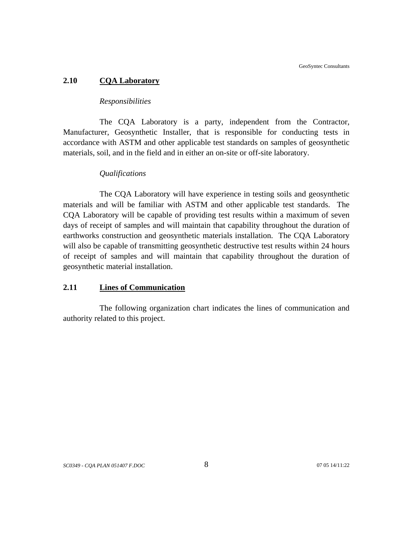#### <span id="page-15-0"></span>**2.10 CQA Laboratory**

#### *Responsibilities*

The CQA Laboratory is a party, independent from the Contractor, Manufacturer, Geosynthetic Installer, that is responsible for conducting tests in accordance with ASTM and other applicable test standards on samples of geosynthetic materials, soil, and in the field and in either an on-site or off-site laboratory.

#### *Qualifications*

The CQA Laboratory will have experience in testing soils and geosynthetic materials and will be familiar with ASTM and other applicable test standards. The CQA Laboratory will be capable of providing test results within a maximum of seven days of receipt of samples and will maintain that capability throughout the duration of earthworks construction and geosynthetic materials installation. The CQA Laboratory will also be capable of transmitting geosynthetic destructive test results within 24 hours of receipt of samples and will maintain that capability throughout the duration of geosynthetic material installation.

## **2.11 Lines of Communication**

The following organization chart indicates the lines of communication and authority related to this project.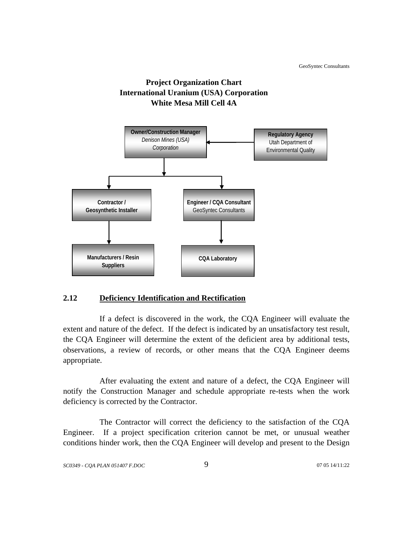

<span id="page-16-0"></span>

## **2.12 Deficiency Identification and Rectification**

If a defect is discovered in the work, the CQA Engineer will evaluate the extent and nature of the defect. If the defect is indicated by an unsatisfactory test result, the CQA Engineer will determine the extent of the deficient area by additional tests, observations, a review of records, or other means that the CQA Engineer deems appropriate.

After evaluating the extent and nature of a defect, the CQA Engineer will notify the Construction Manager and schedule appropriate re-tests when the work deficiency is corrected by the Contractor.

The Contractor will correct the deficiency to the satisfaction of the CQA Engineer. If a project specification criterion cannot be met, or unusual weather conditions hinder work, then the CQA Engineer will develop and present to the Design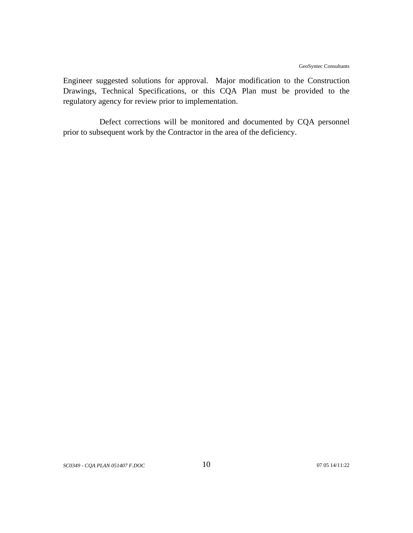Engineer suggested solutions for approval. Major modification to the Construction Drawings, Technical Specifications, or this CQA Plan must be provided to the regulatory agency for review prior to implementation.

Defect corrections will be monitored and documented by CQA personnel prior to subsequent work by the Contractor in the area of the deficiency.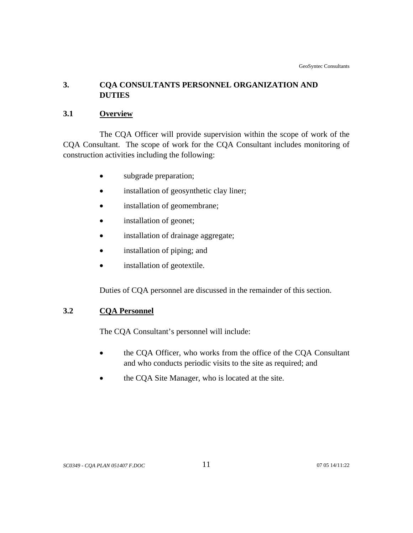## <span id="page-18-0"></span>**3. CQA CONSULTANTS PERSONNEL ORGANIZATION AND DUTIES**

## **3.1 Overview**

The CQA Officer will provide supervision within the scope of work of the CQA Consultant. The scope of work for the CQA Consultant includes monitoring of construction activities including the following:

- subgrade preparation;
- installation of geosynthetic clay liner;
- installation of geomembrane;
- installation of geonet;
- installation of drainage aggregate;
- installation of piping; and
- installation of geotextile.

Duties of CQA personnel are discussed in the remainder of this section.

## **3.2 CQA Personnel**

The CQA Consultant's personnel will include:

- the CQA Officer, who works from the office of the CQA Consultant and who conducts periodic visits to the site as required; and
- the CQA Site Manager, who is located at the site.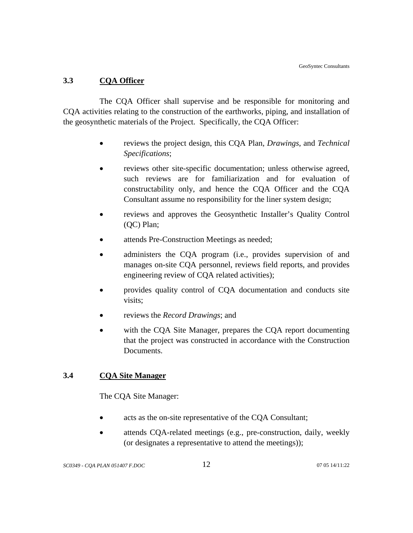## <span id="page-19-0"></span>**3.3 CQA Officer**

The CQA Officer shall supervise and be responsible for monitoring and CQA activities relating to the construction of the earthworks, piping, and installation of the geosynthetic materials of the Project. Specifically, the CQA Officer:

- reviews the project design, this CQA Plan, *Drawings*, and *Technical Specifications*;
- reviews other site-specific documentation; unless otherwise agreed, such reviews are for familiarization and for evaluation of constructability only, and hence the CQA Officer and the CQA Consultant assume no responsibility for the liner system design;
- reviews and approves the Geosynthetic Installer's Quality Control (QC) Plan;
- attends Pre-Construction Meetings as needed;
- administers the CQA program (i.e., provides supervision of and manages on-site CQA personnel, reviews field reports, and provides engineering review of CQA related activities);
- provides quality control of CQA documentation and conducts site visits;
- reviews the *Record Drawings*; and
- with the COA Site Manager, prepares the COA report documenting that the project was constructed in accordance with the Construction Documents.

## **3.4 CQA Site Manager**

The CQA Site Manager:

- acts as the on-site representative of the CQA Consultant;
- attends CQA-related meetings (e.g., pre-construction, daily, weekly (or designates a representative to attend the meetings));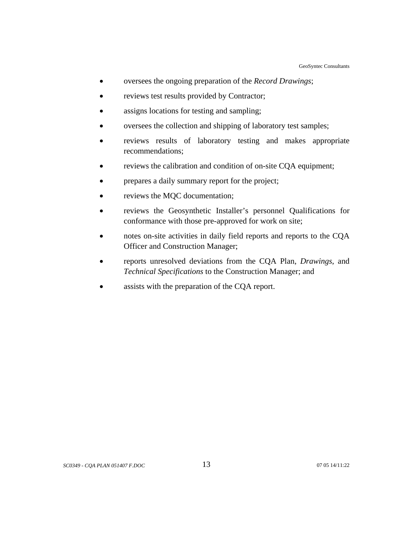- oversees the ongoing preparation of the *Record Drawings*;
- reviews test results provided by Contractor;
- assigns locations for testing and sampling;
- oversees the collection and shipping of laboratory test samples;
- reviews results of laboratory testing and makes appropriate recommendations;
- reviews the calibration and condition of on-site CQA equipment;
- prepares a daily summary report for the project;
- reviews the MQC documentation;
- reviews the Geosynthetic Installer's personnel Qualifications for conformance with those pre-approved for work on site;
- notes on-site activities in daily field reports and reports to the CQA Officer and Construction Manager;
- reports unresolved deviations from the CQA Plan, *Drawings*, and *Technical Specifications* to the Construction Manager; and
- assists with the preparation of the CQA report.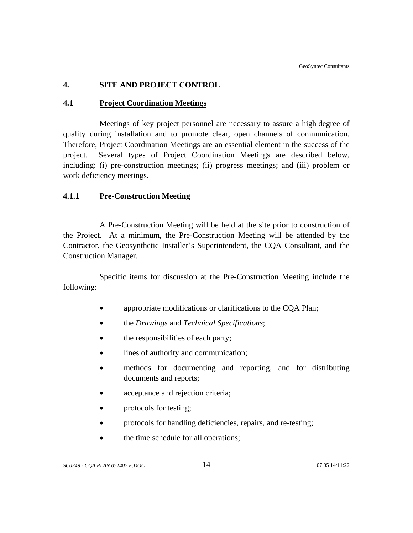## <span id="page-21-0"></span>**4. SITE AND PROJECT CONTROL**

## **4.1 Project Coordination Meetings**

Meetings of key project personnel are necessary to assure a high degree of quality during installation and to promote clear, open channels of communication. Therefore, Project Coordination Meetings are an essential element in the success of the project. Several types of Project Coordination Meetings are described below, including: (i) pre-construction meetings; (ii) progress meetings; and (iii) problem or work deficiency meetings.

## **4.1.1 Pre-Construction Meeting**

A Pre-Construction Meeting will be held at the site prior to construction of the Project. At a minimum, the Pre-Construction Meeting will be attended by the Contractor, the Geosynthetic Installer's Superintendent, the CQA Consultant, and the Construction Manager.

Specific items for discussion at the Pre-Construction Meeting include the following:

- appropriate modifications or clarifications to the CQA Plan;
- the *Drawings* and *Technical Specifications*;
- the responsibilities of each party;
- lines of authority and communication;
- methods for documenting and reporting, and for distributing documents and reports;
- acceptance and rejection criteria;
- protocols for testing;
- protocols for handling deficiencies, repairs, and re-testing;
- the time schedule for all operations;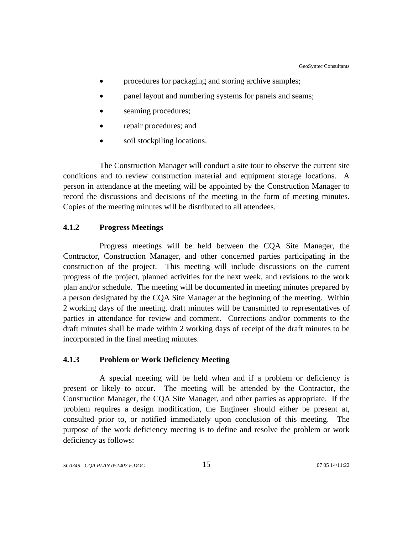- <span id="page-22-0"></span>procedures for packaging and storing archive samples;
- panel layout and numbering systems for panels and seams;
- seaming procedures;
- repair procedures; and
- soil stockpiling locations.

The Construction Manager will conduct a site tour to observe the current site conditions and to review construction material and equipment storage locations. A person in attendance at the meeting will be appointed by the Construction Manager to record the discussions and decisions of the meeting in the form of meeting minutes. Copies of the meeting minutes will be distributed to all attendees.

### **4.1.2 Progress Meetings**

Progress meetings will be held between the CQA Site Manager, the Contractor, Construction Manager, and other concerned parties participating in the construction of the project. This meeting will include discussions on the current progress of the project, planned activities for the next week, and revisions to the work plan and/or schedule. The meeting will be documented in meeting minutes prepared by a person designated by the CQA Site Manager at the beginning of the meeting. Within 2 working days of the meeting, draft minutes will be transmitted to representatives of parties in attendance for review and comment. Corrections and/or comments to the draft minutes shall be made within 2 working days of receipt of the draft minutes to be incorporated in the final meeting minutes.

#### **4.1.3 Problem or Work Deficiency Meeting**

A special meeting will be held when and if a problem or deficiency is present or likely to occur. The meeting will be attended by the Contractor, the Construction Manager, the CQA Site Manager, and other parties as appropriate. If the problem requires a design modification, the Engineer should either be present at, consulted prior to, or notified immediately upon conclusion of this meeting. The purpose of the work deficiency meeting is to define and resolve the problem or work deficiency as follows: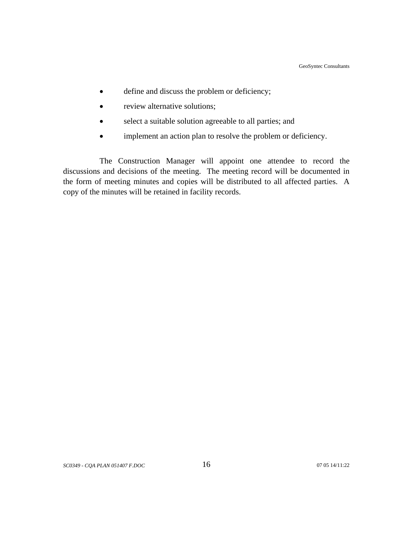- define and discuss the problem or deficiency;
- review alternative solutions;
- select a suitable solution agreeable to all parties; and
- implement an action plan to resolve the problem or deficiency.

The Construction Manager will appoint one attendee to record the discussions and decisions of the meeting. The meeting record will be documented in the form of meeting minutes and copies will be distributed to all affected parties. A copy of the minutes will be retained in facility records.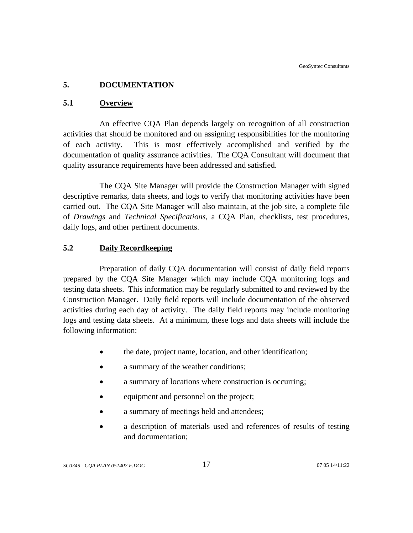## <span id="page-24-0"></span>**5. DOCUMENTATION**

## **5.1 Overview**

An effective CQA Plan depends largely on recognition of all construction activities that should be monitored and on assigning responsibilities for the monitoring of each activity. This is most effectively accomplished and verified by the documentation of quality assurance activities. The CQA Consultant will document that quality assurance requirements have been addressed and satisfied.

The CQA Site Manager will provide the Construction Manager with signed descriptive remarks, data sheets, and logs to verify that monitoring activities have been carried out. The CQA Site Manager will also maintain, at the job site, a complete file of *Drawings* and *Technical Specifications*, a CQA Plan, checklists, test procedures, daily logs, and other pertinent documents.

## **5.2 Daily Recordkeeping**

Preparation of daily CQA documentation will consist of daily field reports prepared by the CQA Site Manager which may include CQA monitoring logs and testing data sheets. This information may be regularly submitted to and reviewed by the Construction Manager. Daily field reports will include documentation of the observed activities during each day of activity. The daily field reports may include monitoring logs and testing data sheets. At a minimum, these logs and data sheets will include the following information:

- the date, project name, location, and other identification;
- a summary of the weather conditions;
- a summary of locations where construction is occurring:
- equipment and personnel on the project;
- a summary of meetings held and attendees;
- a description of materials used and references of results of testing and documentation;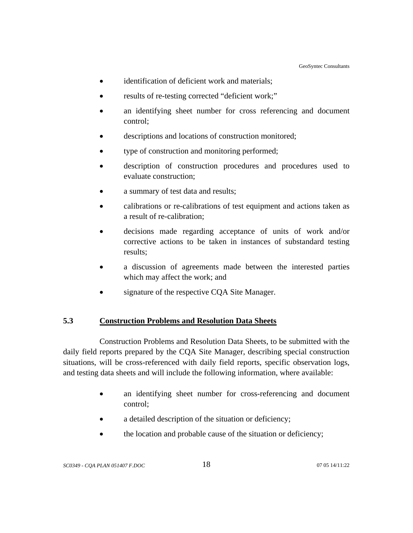- <span id="page-25-0"></span>• identification of deficient work and materials;
- results of re-testing corrected "deficient work;"
- an identifying sheet number for cross referencing and document control;
- descriptions and locations of construction monitored;
- type of construction and monitoring performed;
- description of construction procedures and procedures used to evaluate construction;
- a summary of test data and results;
- calibrations or re-calibrations of test equipment and actions taken as a result of re-calibration;
- decisions made regarding acceptance of units of work and/or corrective actions to be taken in instances of substandard testing results;
- a discussion of agreements made between the interested parties which may affect the work; and
- signature of the respective CQA Site Manager.

## **5.3 Construction Problems and Resolution Data Sheets**

Construction Problems and Resolution Data Sheets, to be submitted with the daily field reports prepared by the CQA Site Manager, describing special construction situations, will be cross-referenced with daily field reports, specific observation logs, and testing data sheets and will include the following information, where available:

- an identifying sheet number for cross-referencing and document control;
- a detailed description of the situation or deficiency;
- the location and probable cause of the situation or deficiency;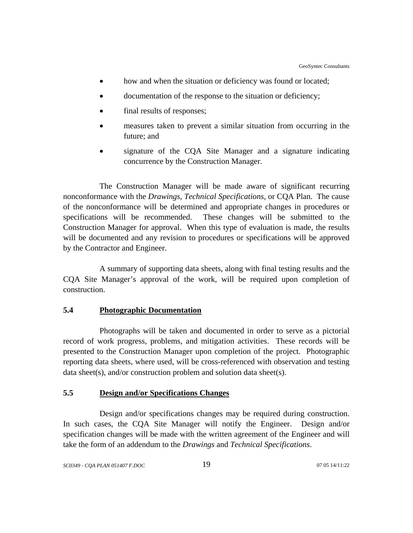- <span id="page-26-0"></span>• how and when the situation or deficiency was found or located;
- documentation of the response to the situation or deficiency;
- final results of responses;
- measures taken to prevent a similar situation from occurring in the future; and
- signature of the CQA Site Manager and a signature indicating concurrence by the Construction Manager.

The Construction Manager will be made aware of significant recurring nonconformance with the *Drawings*, *Technical Specifications*, or CQA Plan. The cause of the nonconformance will be determined and appropriate changes in procedures or specifications will be recommended. These changes will be submitted to the Construction Manager for approval. When this type of evaluation is made, the results will be documented and any revision to procedures or specifications will be approved by the Contractor and Engineer.

A summary of supporting data sheets, along with final testing results and the CQA Site Manager's approval of the work, will be required upon completion of construction.

#### **5.4 Photographic Documentation**

Photographs will be taken and documented in order to serve as a pictorial record of work progress, problems, and mitigation activities. These records will be presented to the Construction Manager upon completion of the project. Photographic reporting data sheets, where used, will be cross-referenced with observation and testing data sheet(s), and/or construction problem and solution data sheet(s).

## **5.5 Design and/or Specifications Changes**

Design and/or specifications changes may be required during construction. In such cases, the CQA Site Manager will notify the Engineer. Design and/or specification changes will be made with the written agreement of the Engineer and will take the form of an addendum to the *Drawings* and *Technical Specifications*.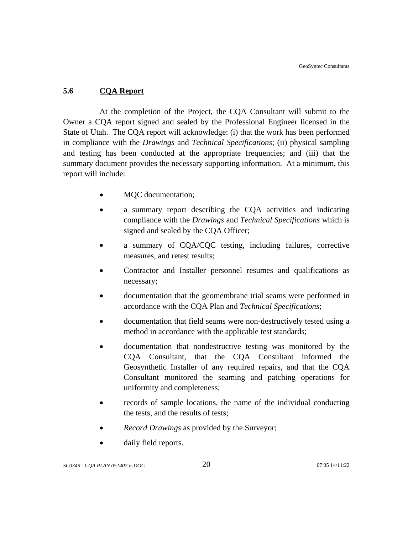## <span id="page-27-0"></span>**5.6 CQA Report**

At the completion of the Project, the CQA Consultant will submit to the Owner a CQA report signed and sealed by the Professional Engineer licensed in the State of Utah. The CQA report will acknowledge: (i) that the work has been performed in compliance with the *Drawings* and *Technical Specifications*; (ii) physical sampling and testing has been conducted at the appropriate frequencies; and (iii) that the summary document provides the necessary supporting information. At a minimum, this report will include:

- MQC documentation;
- a summary report describing the CQA activities and indicating compliance with the *Drawings* and *Technical Specifications* which is signed and sealed by the CQA Officer;
- a summary of CQA/CQC testing, including failures, corrective measures, and retest results;
- Contractor and Installer personnel resumes and qualifications as necessary;
- documentation that the geomembrane trial seams were performed in accordance with the CQA Plan and *Technical Specifications*;
- documentation that field seams were non-destructively tested using a method in accordance with the applicable test standards;
- documentation that nondestructive testing was monitored by the CQA Consultant, that the CQA Consultant informed the Geosynthetic Installer of any required repairs, and that the CQA Consultant monitored the seaming and patching operations for uniformity and completeness;
- records of sample locations, the name of the individual conducting the tests, and the results of tests;
- *Record Drawings* as provided by the Surveyor;
- daily field reports.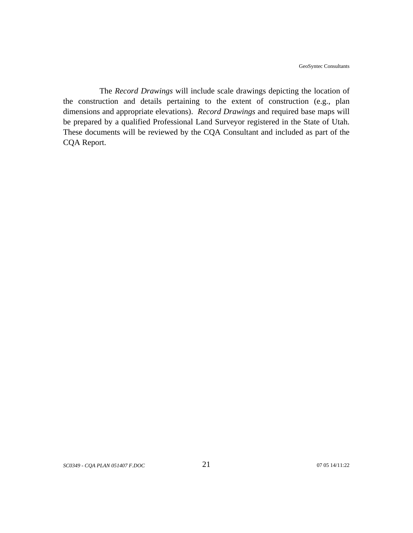The *Record Drawings* will include scale drawings depicting the location of the construction and details pertaining to the extent of construction (e.g., plan dimensions and appropriate elevations). *Record Drawings* and required base maps will be prepared by a qualified Professional Land Surveyor registered in the State of Utah. These documents will be reviewed by the CQA Consultant and included as part of the CQA Report.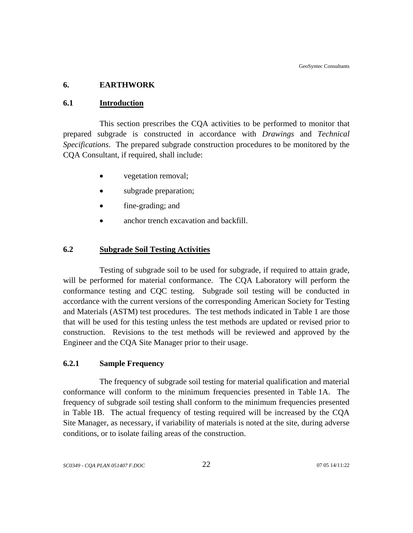## <span id="page-29-0"></span>**6. EARTHWORK**

#### **6.1 Introduction**

This section prescribes the CQA activities to be performed to monitor that prepared subgrade is constructed in accordance with *Drawings* and *Technical Specifications*. The prepared subgrade construction procedures to be monitored by the CQA Consultant, if required, shall include:

- vegetation removal;
- subgrade preparation;
- fine-grading; and
- anchor trench excavation and backfill.

## **6.2 Subgrade Soil Testing Activities**

Testing of subgrade soil to be used for subgrade, if required to attain grade, will be performed for material conformance. The CQA Laboratory will perform the conformance testing and CQC testing. Subgrade soil testing will be conducted in accordance with the current versions of the corresponding American Society for Testing and Materials (ASTM) test procedures. The test methods indicated in Table 1 are those that will be used for this testing unless the test methods are updated or revised prior to construction. Revisions to the test methods will be reviewed and approved by the Engineer and the CQA Site Manager prior to their usage.

## **6.2.1 Sample Frequency**

The frequency of subgrade soil testing for material qualification and material conformance will conform to the minimum frequencies presented in Table 1A. The frequency of subgrade soil testing shall conform to the minimum frequencies presented in Table 1B. The actual frequency of testing required will be increased by the CQA Site Manager, as necessary, if variability of materials is noted at the site, during adverse conditions, or to isolate failing areas of the construction.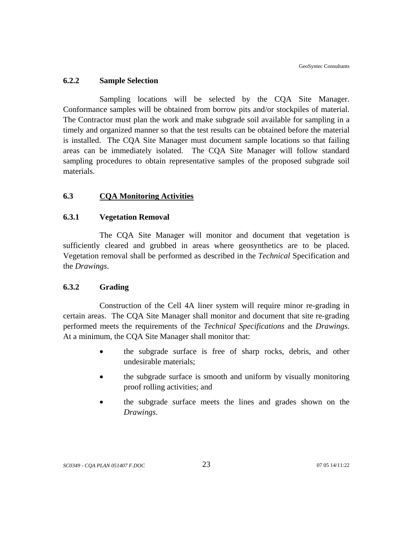#### <span id="page-30-0"></span>**6.2.2 Sample Selection**

Sampling locations will be selected by the CQA Site Manager. Conformance samples will be obtained from borrow pits and/or stockpiles of material. The Contractor must plan the work and make subgrade soil available for sampling in a timely and organized manner so that the test results can be obtained before the material is installed. The CQA Site Manager must document sample locations so that failing areas can be immediately isolated. The CQA Site Manager will follow standard sampling procedures to obtain representative samples of the proposed subgrade soil materials.

## **6.3 CQA Monitoring Activities**

#### **6.3.1 Vegetation Removal**

The CQA Site Manager will monitor and document that vegetation is sufficiently cleared and grubbed in areas where geosynthetics are to be placed. Vegetation removal shall be performed as described in the *Technical* Specification and the *Drawings*.

#### **6.3.2 Grading**

 Construction of the Cell 4A liner system will require minor re-grading in certain areas. The CQA Site Manager shall monitor and document that site re-grading performed meets the requirements of the *Technical Specifications* and the *Drawings*. At a minimum, the CQA Site Manager shall monitor that:

- the subgrade surface is free of sharp rocks, debris, and other undesirable materials;
- the subgrade surface is smooth and uniform by visually monitoring proof rolling activities; and
- the subgrade surface meets the lines and grades shown on the *Drawings*.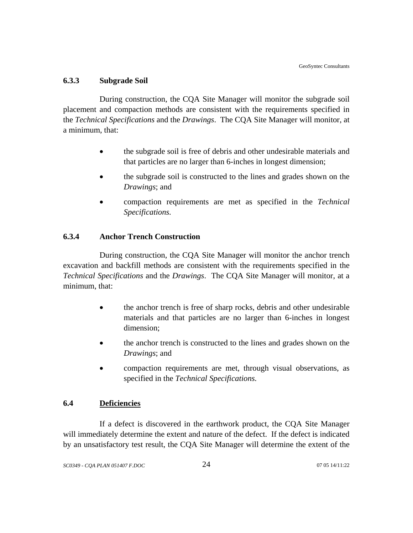## <span id="page-31-0"></span>**6.3.3 Subgrade Soil**

During construction, the CQA Site Manager will monitor the subgrade soil placement and compaction methods are consistent with the requirements specified in the *Technical Specifications* and the *Drawings*. The CQA Site Manager will monitor, at a minimum, that:

- the subgrade soil is free of debris and other undesirable materials and that particles are no larger than 6-inches in longest dimension;
- the subgrade soil is constructed to the lines and grades shown on the *Drawings*; and
- compaction requirements are met as specified in the *Technical Specifications.*

## **6.3.4 Anchor Trench Construction**

During construction, the CQA Site Manager will monitor the anchor trench excavation and backfill methods are consistent with the requirements specified in the *Technical Specifications* and the *Drawings*. The CQA Site Manager will monitor, at a minimum, that:

- the anchor trench is free of sharp rocks, debris and other undesirable materials and that particles are no larger than 6-inches in longest dimension;
- the anchor trench is constructed to the lines and grades shown on the *Drawings*; and
- compaction requirements are met, through visual observations, as specified in the *Technical Specifications.*

## **6.4 Deficiencies**

If a defect is discovered in the earthwork product, the CQA Site Manager will immediately determine the extent and nature of the defect. If the defect is indicated by an unsatisfactory test result, the CQA Site Manager will determine the extent of the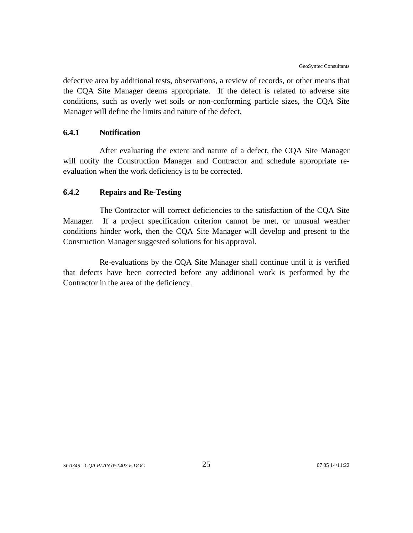<span id="page-32-0"></span>defective area by additional tests, observations, a review of records, or other means that the CQA Site Manager deems appropriate. If the defect is related to adverse site conditions, such as overly wet soils or non-conforming particle sizes, the CQA Site Manager will define the limits and nature of the defect.

#### **6.4.1 Notification**

After evaluating the extent and nature of a defect, the CQA Site Manager will notify the Construction Manager and Contractor and schedule appropriate reevaluation when the work deficiency is to be corrected.

#### **6.4.2 Repairs and Re-Testing**

The Contractor will correct deficiencies to the satisfaction of the CQA Site Manager. If a project specification criterion cannot be met, or unusual weather conditions hinder work, then the CQA Site Manager will develop and present to the Construction Manager suggested solutions for his approval.

Re-evaluations by the CQA Site Manager shall continue until it is verified that defects have been corrected before any additional work is performed by the Contractor in the area of the deficiency.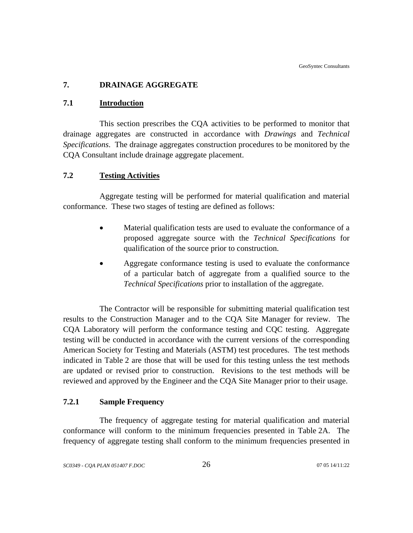## <span id="page-33-0"></span>**7. DRAINAGE AGGREGATE**

## **7.1 Introduction**

This section prescribes the CQA activities to be performed to monitor that drainage aggregates are constructed in accordance with *Drawings* and *Technical Specifications*. The drainage aggregates construction procedures to be monitored by the CQA Consultant include drainage aggregate placement.

## **7.2 Testing Activities**

Aggregate testing will be performed for material qualification and material conformance. These two stages of testing are defined as follows:

- Material qualification tests are used to evaluate the conformance of a proposed aggregate source with the *Technical Specifications* for qualification of the source prior to construction.
- Aggregate conformance testing is used to evaluate the conformance of a particular batch of aggregate from a qualified source to the *Technical Specifications* prior to installation of the aggregate.

The Contractor will be responsible for submitting material qualification test results to the Construction Manager and to the CQA Site Manager for review. The CQA Laboratory will perform the conformance testing and CQC testing. Aggregate testing will be conducted in accordance with the current versions of the corresponding American Society for Testing and Materials (ASTM) test procedures. The test methods indicated in Table 2 are those that will be used for this testing unless the test methods are updated or revised prior to construction. Revisions to the test methods will be reviewed and approved by the Engineer and the CQA Site Manager prior to their usage.

## **7.2.1 Sample Frequency**

The frequency of aggregate testing for material qualification and material conformance will conform to the minimum frequencies presented in Table 2A. The frequency of aggregate testing shall conform to the minimum frequencies presented in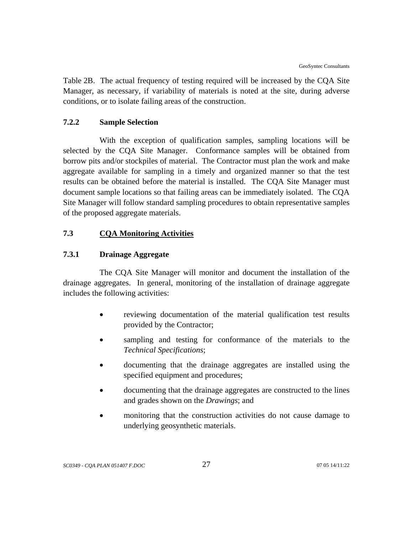<span id="page-34-0"></span>Table 2B. The actual frequency of testing required will be increased by the CQA Site Manager, as necessary, if variability of materials is noted at the site, during adverse conditions, or to isolate failing areas of the construction.

## **7.2.2 Sample Selection**

With the exception of qualification samples, sampling locations will be selected by the CQA Site Manager. Conformance samples will be obtained from borrow pits and/or stockpiles of material. The Contractor must plan the work and make aggregate available for sampling in a timely and organized manner so that the test results can be obtained before the material is installed. The CQA Site Manager must document sample locations so that failing areas can be immediately isolated. The CQA Site Manager will follow standard sampling procedures to obtain representative samples of the proposed aggregate materials.

## **7.3 CQA Monitoring Activities**

#### **7.3.1 Drainage Aggregate**

The CQA Site Manager will monitor and document the installation of the drainage aggregates. In general, monitoring of the installation of drainage aggregate includes the following activities:

- reviewing documentation of the material qualification test results provided by the Contractor;
- sampling and testing for conformance of the materials to the *Technical Specifications*;
- documenting that the drainage aggregates are installed using the specified equipment and procedures;
- documenting that the drainage aggregates are constructed to the lines and grades shown on the *Drawings*; and
- monitoring that the construction activities do not cause damage to underlying geosynthetic materials.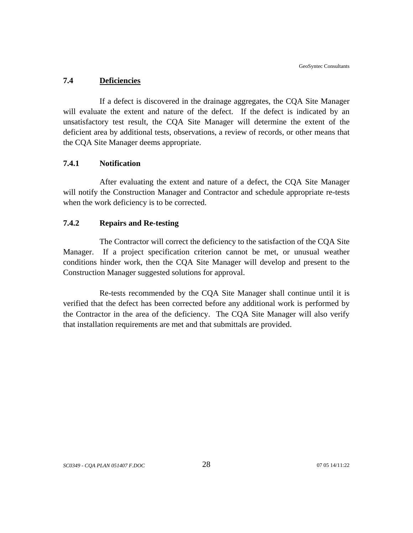#### <span id="page-35-0"></span>**7.4 Deficiencies**

If a defect is discovered in the drainage aggregates, the CQA Site Manager will evaluate the extent and nature of the defect. If the defect is indicated by an unsatisfactory test result, the CQA Site Manager will determine the extent of the deficient area by additional tests, observations, a review of records, or other means that the CQA Site Manager deems appropriate.

## **7.4.1 Notification**

After evaluating the extent and nature of a defect, the CQA Site Manager will notify the Construction Manager and Contractor and schedule appropriate re-tests when the work deficiency is to be corrected.

## **7.4.2 Repairs and Re-testing**

The Contractor will correct the deficiency to the satisfaction of the CQA Site Manager. If a project specification criterion cannot be met, or unusual weather conditions hinder work, then the CQA Site Manager will develop and present to the Construction Manager suggested solutions for approval.

Re-tests recommended by the CQA Site Manager shall continue until it is verified that the defect has been corrected before any additional work is performed by the Contractor in the area of the deficiency. The CQA Site Manager will also verify that installation requirements are met and that submittals are provided.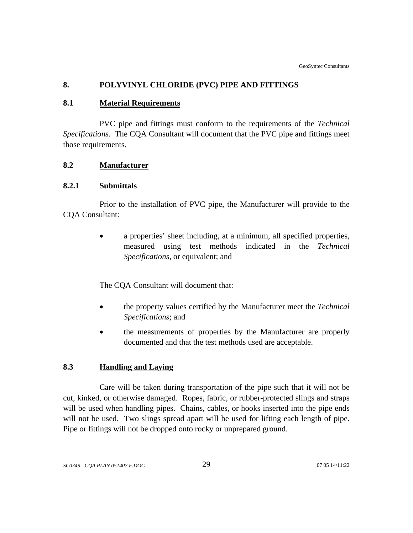# **8. POLYVINYL CHLORIDE (PVC) PIPE AND FITTINGS**

### **8.1 Material Requirements**

PVC pipe and fittings must conform to the requirements of the *Technical Specifications*. The CQA Consultant will document that the PVC pipe and fittings meet those requirements.

## **8.2 Manufacturer**

### **8.2.1 Submittals**

Prior to the installation of PVC pipe, the Manufacturer will provide to the CQA Consultant:

> • a properties' sheet including, at a minimum, all specified properties, measured using test methods indicated in the *Technical Specifications*, or equivalent; and

The CQA Consultant will document that:

- the property values certified by the Manufacturer meet the *Technical Specifications*; and
- the measurements of properties by the Manufacturer are properly documented and that the test methods used are acceptable.

# **8.3 Handling and Laying**

Care will be taken during transportation of the pipe such that it will not be cut, kinked, or otherwise damaged. Ropes, fabric, or rubber-protected slings and straps will be used when handling pipes. Chains, cables, or hooks inserted into the pipe ends will not be used. Two slings spread apart will be used for lifting each length of pipe. Pipe or fittings will not be dropped onto rocky or unprepared ground.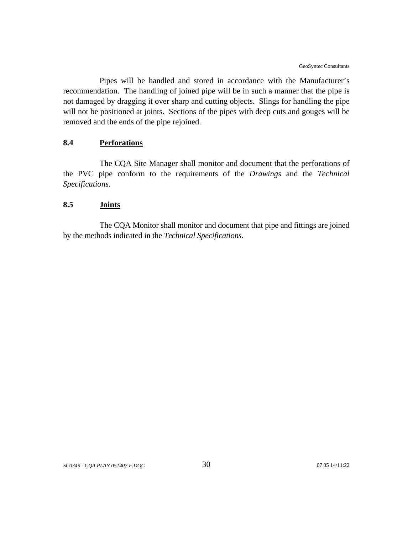Pipes will be handled and stored in accordance with the Manufacturer's recommendation. The handling of joined pipe will be in such a manner that the pipe is not damaged by dragging it over sharp and cutting objects. Slings for handling the pipe will not be positioned at joints. Sections of the pipes with deep cuts and gouges will be removed and the ends of the pipe rejoined.

# **8.4 Perforations**

The CQA Site Manager shall monitor and document that the perforations of the PVC pipe conform to the requirements of the *Drawings* and the *Technical Specifications*.

### **8.5 Joints**

The CQA Monitor shall monitor and document that pipe and fittings are joined by the methods indicated in the *Technical Specifications*.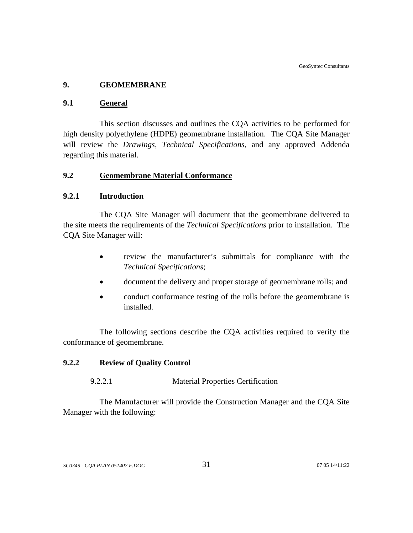## **9. GEOMEMBRANE**

### **9.1 General**

This section discusses and outlines the CQA activities to be performed for high density polyethylene (HDPE) geomembrane installation. The CQA Site Manager will review the *Drawings*, *Technical Specifications,* and any approved Addenda regarding this material.

# **9.2 Geomembrane Material Conformance**

### **9.2.1 Introduction**

The CQA Site Manager will document that the geomembrane delivered to the site meets the requirements of the *Technical Specifications* prior to installation. The CQA Site Manager will:

- review the manufacturer's submittals for compliance with the *Technical Specifications*;
- document the delivery and proper storage of geomembrane rolls; and
- conduct conformance testing of the rolls before the geomembrane is installed.

The following sections describe the CQA activities required to verify the conformance of geomembrane.

## **9.2.2 Review of Quality Control**

### 9.2.2.1 Material Properties Certification

The Manufacturer will provide the Construction Manager and the CQA Site Manager with the following: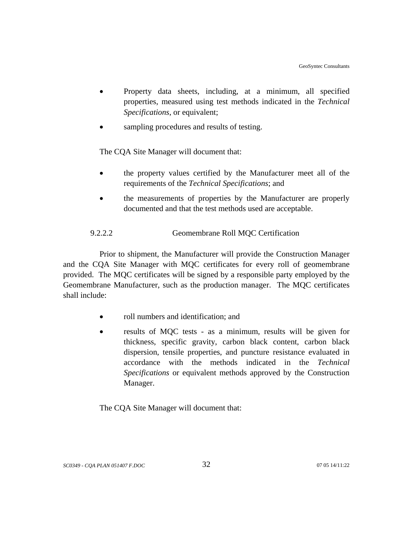- Property data sheets, including, at a minimum, all specified properties, measured using test methods indicated in the *Technical Specifications*, or equivalent;
- sampling procedures and results of testing.

The CQA Site Manager will document that:

- the property values certified by the Manufacturer meet all of the requirements of the *Technical Specifications*; and
- the measurements of properties by the Manufacturer are properly documented and that the test methods used are acceptable.

# 9.2.2.2 Geomembrane Roll MQC Certification

Prior to shipment, the Manufacturer will provide the Construction Manager and the CQA Site Manager with MQC certificates for every roll of geomembrane provided. The MQC certificates will be signed by a responsible party employed by the Geomembrane Manufacturer, such as the production manager. The MQC certificates shall include:

- roll numbers and identification; and
- results of MQC tests as a minimum, results will be given for thickness, specific gravity, carbon black content, carbon black dispersion, tensile properties, and puncture resistance evaluated in accordance with the methods indicated in the *Technical Specifications* or equivalent methods approved by the Construction Manager.

The CQA Site Manager will document that: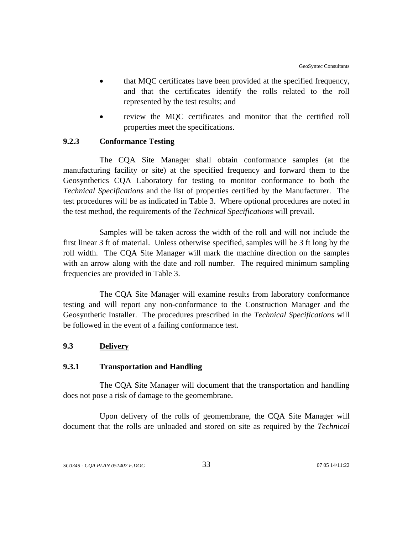- that MQC certificates have been provided at the specified frequency, and that the certificates identify the rolls related to the roll represented by the test results; and
- review the MOC certificates and monitor that the certified roll properties meet the specifications.

# **9.2.3 Conformance Testing**

The CQA Site Manager shall obtain conformance samples (at the manufacturing facility or site) at the specified frequency and forward them to the Geosynthetics CQA Laboratory for testing to monitor conformance to both the *Technical Specifications* and the list of properties certified by the Manufacturer. The test procedures will be as indicated in Table 3. Where optional procedures are noted in the test method, the requirements of the *Technical Specifications* will prevail.

Samples will be taken across the width of the roll and will not include the first linear 3 ft of material. Unless otherwise specified, samples will be 3 ft long by the roll width. The CQA Site Manager will mark the machine direction on the samples with an arrow along with the date and roll number. The required minimum sampling frequencies are provided in Table 3.

The CQA Site Manager will examine results from laboratory conformance testing and will report any non-conformance to the Construction Manager and the Geosynthetic Installer. The procedures prescribed in the *Technical Specifications* will be followed in the event of a failing conformance test.

## **9.3 Delivery**

### **9.3.1 Transportation and Handling**

The CQA Site Manager will document that the transportation and handling does not pose a risk of damage to the geomembrane.

Upon delivery of the rolls of geomembrane, the CQA Site Manager will document that the rolls are unloaded and stored on site as required by the *Technical*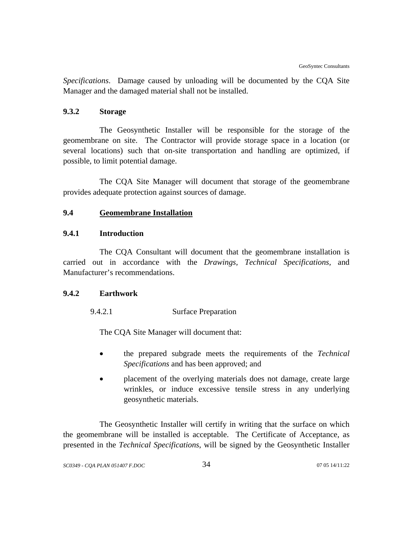*Specifications*. Damage caused by unloading will be documented by the CQA Site Manager and the damaged material shall not be installed.

## **9.3.2 Storage**

The Geosynthetic Installer will be responsible for the storage of the geomembrane on site. The Contractor will provide storage space in a location (or several locations) such that on-site transportation and handling are optimized, if possible, to limit potential damage.

The CQA Site Manager will document that storage of the geomembrane provides adequate protection against sources of damage.

# **9.4 Geomembrane Installation**

## **9.4.1 Introduction**

The CQA Consultant will document that the geomembrane installation is carried out in accordance with the *Drawings, Technical Specifications,* and Manufacturer's recommendations.

### **9.4.2 Earthwork**

9.4.2.1 Surface Preparation

The CQA Site Manager will document that:

- the prepared subgrade meets the requirements of the *Technical Specifications* and has been approved; and
- placement of the overlying materials does not damage, create large wrinkles, or induce excessive tensile stress in any underlying geosynthetic materials.

The Geosynthetic Installer will certify in writing that the surface on which the geomembrane will be installed is acceptable. The Certificate of Acceptance, as presented in the *Technical Specifications*, will be signed by the Geosynthetic Installer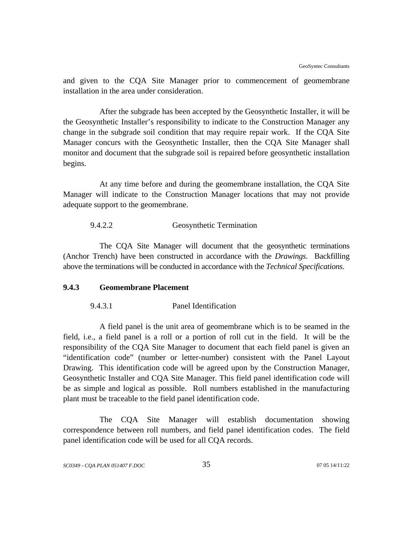and given to the CQA Site Manager prior to commencement of geomembrane installation in the area under consideration.

After the subgrade has been accepted by the Geosynthetic Installer, it will be the Geosynthetic Installer's responsibility to indicate to the Construction Manager any change in the subgrade soil condition that may require repair work. If the CQA Site Manager concurs with the Geosynthetic Installer, then the CQA Site Manager shall monitor and document that the subgrade soil is repaired before geosynthetic installation begins.

At any time before and during the geomembrane installation, the CQA Site Manager will indicate to the Construction Manager locations that may not provide adequate support to the geomembrane.

#### 9.4.2.2 Geosynthetic Termination

The CQA Site Manager will document that the geosynthetic terminations (Anchor Trench) have been constructed in accordance with the *Drawings*. Backfilling above the terminations will be conducted in accordance with the *Technical Specifications*.

#### **9.4.3 Geomembrane Placement**

9.4.3.1 Panel Identification

A field panel is the unit area of geomembrane which is to be seamed in the field, i.e., a field panel is a roll or a portion of roll cut in the field. It will be the responsibility of the CQA Site Manager to document that each field panel is given an "identification code" (number or letter-number) consistent with the Panel Layout Drawing. This identification code will be agreed upon by the Construction Manager, Geosynthetic Installer and CQA Site Manager. This field panel identification code will be as simple and logical as possible. Roll numbers established in the manufacturing plant must be traceable to the field panel identification code.

The CQA Site Manager will establish documentation showing correspondence between roll numbers, and field panel identification codes. The field panel identification code will be used for all CQA records.

*SC0349 - CQA PLAN 051407 F.DOC* 35 07 05 14/11:22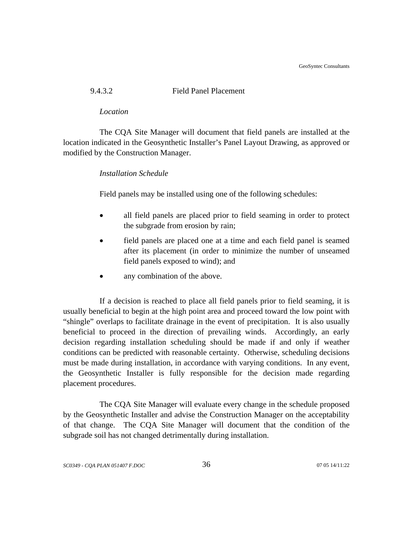GeoSyntec Consultants

# 9.4.3.2 Field Panel Placement

#### *Location*

The CQA Site Manager will document that field panels are installed at the location indicated in the Geosynthetic Installer's Panel Layout Drawing, as approved or modified by the Construction Manager.

## *Installation Schedule*

Field panels may be installed using one of the following schedules:

- all field panels are placed prior to field seaming in order to protect the subgrade from erosion by rain;
- field panels are placed one at a time and each field panel is seamed after its placement (in order to minimize the number of unseamed field panels exposed to wind); and
- any combination of the above.

If a decision is reached to place all field panels prior to field seaming, it is usually beneficial to begin at the high point area and proceed toward the low point with "shingle" overlaps to facilitate drainage in the event of precipitation. It is also usually beneficial to proceed in the direction of prevailing winds. Accordingly, an early decision regarding installation scheduling should be made if and only if weather conditions can be predicted with reasonable certainty. Otherwise, scheduling decisions must be made during installation, in accordance with varying conditions. In any event, the Geosynthetic Installer is fully responsible for the decision made regarding placement procedures.

The CQA Site Manager will evaluate every change in the schedule proposed by the Geosynthetic Installer and advise the Construction Manager on the acceptability of that change. The CQA Site Manager will document that the condition of the subgrade soil has not changed detrimentally during installation.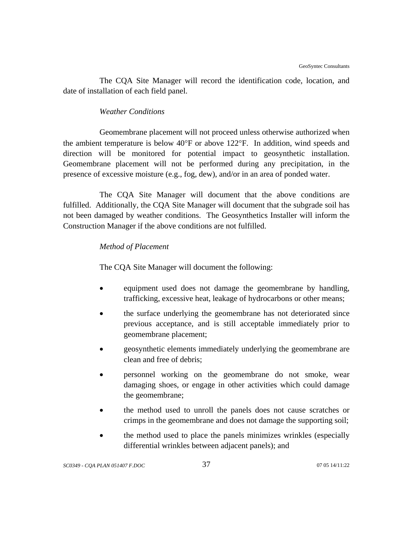The CQA Site Manager will record the identification code, location, and date of installation of each field panel.

# *Weather Conditions*

Geomembrane placement will not proceed unless otherwise authorized when the ambient temperature is below 40°F or above 122°F. In addition, wind speeds and direction will be monitored for potential impact to geosynthetic installation. Geomembrane placement will not be performed during any precipitation, in the presence of excessive moisture (e.g., fog, dew), and/or in an area of ponded water.

The CQA Site Manager will document that the above conditions are fulfilled. Additionally, the CQA Site Manager will document that the subgrade soil has not been damaged by weather conditions. The Geosynthetics Installer will inform the Construction Manager if the above conditions are not fulfilled.

# *Method of Placement*

The CQA Site Manager will document the following:

- equipment used does not damage the geomembrane by handling, trafficking, excessive heat, leakage of hydrocarbons or other means;
- the surface underlying the geomembrane has not deteriorated since previous acceptance, and is still acceptable immediately prior to geomembrane placement;
- geosynthetic elements immediately underlying the geomembrane are clean and free of debris;
- personnel working on the geomembrane do not smoke, wear damaging shoes, or engage in other activities which could damage the geomembrane;
- the method used to unroll the panels does not cause scratches or crimps in the geomembrane and does not damage the supporting soil;
- the method used to place the panels minimizes wrinkles (especially differential wrinkles between adjacent panels); and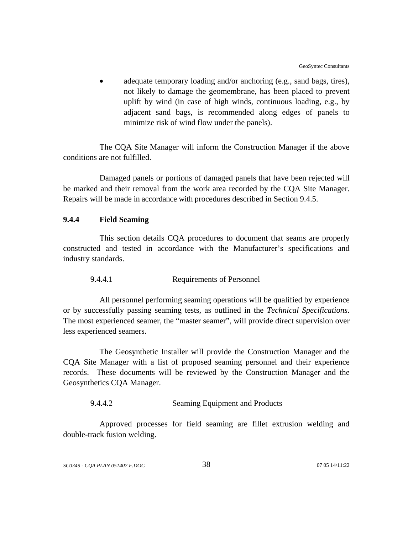adequate temporary loading and/or anchoring (e.g., sand bags, tires), not likely to damage the geomembrane, has been placed to prevent uplift by wind (in case of high winds, continuous loading, e.g., by adjacent sand bags, is recommended along edges of panels to minimize risk of wind flow under the panels).

The CQA Site Manager will inform the Construction Manager if the above conditions are not fulfilled.

Damaged panels or portions of damaged panels that have been rejected will be marked and their removal from the work area recorded by the CQA Site Manager. Repairs will be made in accordance with procedures described in Section 9.4.5.

# **9.4.4 Field Seaming**

This section details CQA procedures to document that seams are properly constructed and tested in accordance with the Manufacturer's specifications and industry standards.

#### 9.4.4.1 Requirements of Personnel

All personnel performing seaming operations will be qualified by experience or by successfully passing seaming tests, as outlined in the *Technical Specifications*. The most experienced seamer, the "master seamer", will provide direct supervision over less experienced seamers.

The Geosynthetic Installer will provide the Construction Manager and the CQA Site Manager with a list of proposed seaming personnel and their experience records. These documents will be reviewed by the Construction Manager and the Geosynthetics CQA Manager.

#### 9.4.4.2 Seaming Equipment and Products

Approved processes for field seaming are fillet extrusion welding and double-track fusion welding.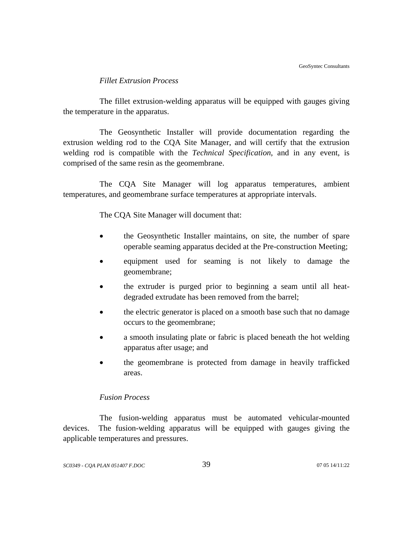# *Fillet Extrusion Process*

The fillet extrusion-welding apparatus will be equipped with gauges giving the temperature in the apparatus.

The Geosynthetic Installer will provide documentation regarding the extrusion welding rod to the CQA Site Manager, and will certify that the extrusion welding rod is compatible with the *Technical Specification*, and in any event, is comprised of the same resin as the geomembrane.

The CQA Site Manager will log apparatus temperatures, ambient temperatures, and geomembrane surface temperatures at appropriate intervals.

The CQA Site Manager will document that:

- the Geosynthetic Installer maintains, on site, the number of spare operable seaming apparatus decided at the Pre-construction Meeting;
- equipment used for seaming is not likely to damage the geomembrane;
- the extruder is purged prior to beginning a seam until all heatdegraded extrudate has been removed from the barrel;
- the electric generator is placed on a smooth base such that no damage occurs to the geomembrane;
- a smooth insulating plate or fabric is placed beneath the hot welding apparatus after usage; and
- the geomembrane is protected from damage in heavily trafficked areas.

# *Fusion Process*

The fusion-welding apparatus must be automated vehicular-mounted devices. The fusion-welding apparatus will be equipped with gauges giving the applicable temperatures and pressures.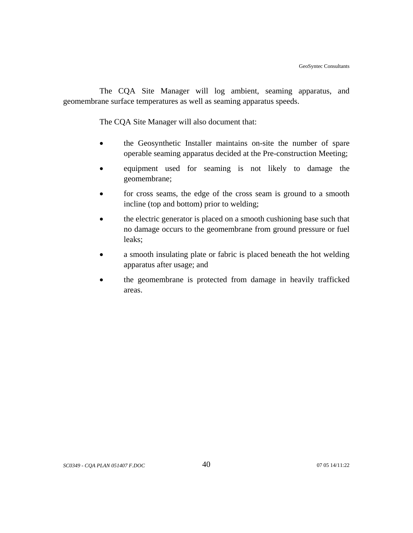The CQA Site Manager will log ambient, seaming apparatus, and geomembrane surface temperatures as well as seaming apparatus speeds.

The CQA Site Manager will also document that:

- the Geosynthetic Installer maintains on-site the number of spare operable seaming apparatus decided at the Pre-construction Meeting;
- equipment used for seaming is not likely to damage the geomembrane;
- for cross seams, the edge of the cross seam is ground to a smooth incline (top and bottom) prior to welding;
- the electric generator is placed on a smooth cushioning base such that no damage occurs to the geomembrane from ground pressure or fuel leaks;
- a smooth insulating plate or fabric is placed beneath the hot welding apparatus after usage; and
- the geomembrane is protected from damage in heavily trafficked areas.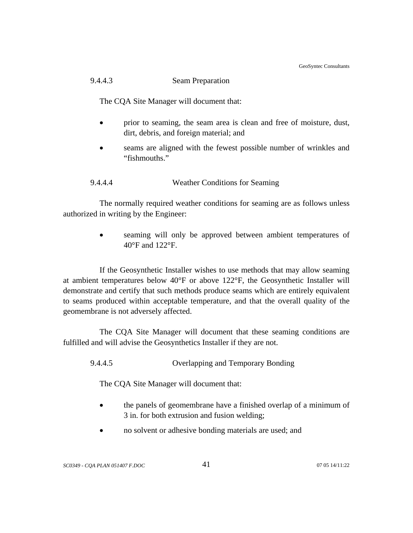GeoSyntec Consultants

# 9.4.4.3 Seam Preparation

The CQA Site Manager will document that:

- prior to seaming, the seam area is clean and free of moisture, dust, dirt, debris, and foreign material; and
- seams are aligned with the fewest possible number of wrinkles and "fishmouths."

# 9.4.4.4 Weather Conditions for Seaming

The normally required weather conditions for seaming are as follows unless authorized in writing by the Engineer:

> seaming will only be approved between ambient temperatures of 40°F and 122°F.

If the Geosynthetic Installer wishes to use methods that may allow seaming at ambient temperatures below 40°F or above 122°F, the Geosynthetic Installer will demonstrate and certify that such methods produce seams which are entirely equivalent to seams produced within acceptable temperature, and that the overall quality of the geomembrane is not adversely affected.

The CQA Site Manager will document that these seaming conditions are fulfilled and will advise the Geosynthetics Installer if they are not.

9.4.4.5 Overlapping and Temporary Bonding

The CQA Site Manager will document that:

- the panels of geomembrane have a finished overlap of a minimum of 3 in. for both extrusion and fusion welding;
- no solvent or adhesive bonding materials are used; and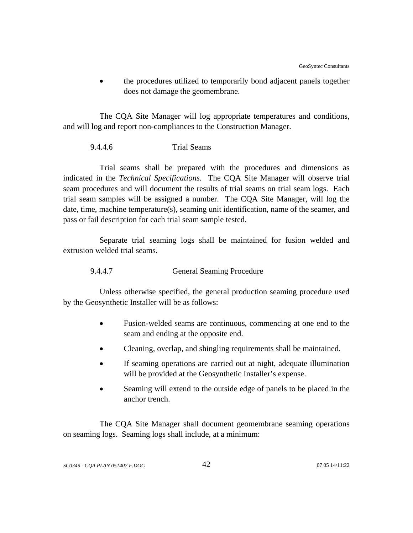• the procedures utilized to temporarily bond adjacent panels together does not damage the geomembrane.

The CQA Site Manager will log appropriate temperatures and conditions, and will log and report non-compliances to the Construction Manager.

## 9.4.4.6 Trial Seams

Trial seams shall be prepared with the procedures and dimensions as indicated in the *Technical Specifications*. The CQA Site Manager will observe trial seam procedures and will document the results of trial seams on trial seam logs. Each trial seam samples will be assigned a number. The CQA Site Manager, will log the date, time, machine temperature(s), seaming unit identification, name of the seamer, and pass or fail description for each trial seam sample tested.

Separate trial seaming logs shall be maintained for fusion welded and extrusion welded trial seams.

9.4.4.7 General Seaming Procedure

Unless otherwise specified, the general production seaming procedure used by the Geosynthetic Installer will be as follows:

- Fusion-welded seams are continuous, commencing at one end to the seam and ending at the opposite end.
- Cleaning, overlap, and shingling requirements shall be maintained.
- If seaming operations are carried out at night, adequate illumination will be provided at the Geosynthetic Installer's expense.
- Seaming will extend to the outside edge of panels to be placed in the anchor trench.

The CQA Site Manager shall document geomembrane seaming operations on seaming logs. Seaming logs shall include, at a minimum: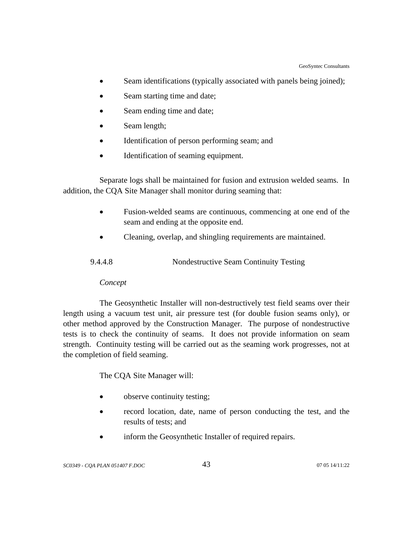- Seam identifications (typically associated with panels being joined);
- Seam starting time and date;
- Seam ending time and date;
- Seam length;
- Identification of person performing seam; and
- Identification of seaming equipment.

 Separate logs shall be maintained for fusion and extrusion welded seams. In addition, the CQA Site Manager shall monitor during seaming that:

- Fusion-welded seams are continuous, commencing at one end of the seam and ending at the opposite end.
- Cleaning, overlap, and shingling requirements are maintained.

| 9.4.4.8 | Nondestructive Seam Continuity Testing |  |
|---------|----------------------------------------|--|
|         |                                        |  |

# *Concept*

The Geosynthetic Installer will non-destructively test field seams over their length using a vacuum test unit, air pressure test (for double fusion seams only), or other method approved by the Construction Manager. The purpose of nondestructive tests is to check the continuity of seams. It does not provide information on seam strength. Continuity testing will be carried out as the seaming work progresses, not at the completion of field seaming.

The CQA Site Manager will:

- observe continuity testing;
- record location, date, name of person conducting the test, and the results of tests; and
- inform the Geosynthetic Installer of required repairs.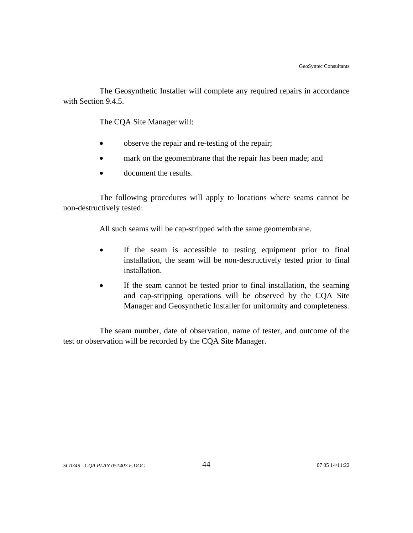The Geosynthetic Installer will complete any required repairs in accordance with Section 9.4.5.

The CQA Site Manager will:

- observe the repair and re-testing of the repair;
- mark on the geomembrane that the repair has been made; and
- document the results.

The following procedures will apply to locations where seams cannot be non-destructively tested:

All such seams will be cap-stripped with the same geomembrane.

- If the seam is accessible to testing equipment prior to final installation, the seam will be non-destructively tested prior to final installation.
- If the seam cannot be tested prior to final installation, the seaming and cap-stripping operations will be observed by the CQA Site Manager and Geosynthetic Installer for uniformity and completeness.

The seam number, date of observation, name of tester, and outcome of the test or observation will be recorded by the CQA Site Manager.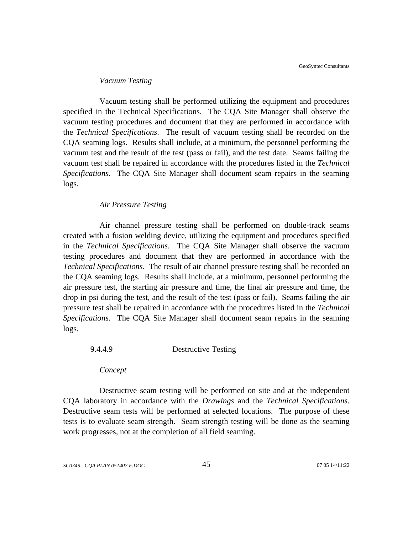#### *Vacuum Testing*

Vacuum testing shall be performed utilizing the equipment and procedures specified in the Technical Specifications. The CQA Site Manager shall observe the vacuum testing procedures and document that they are performed in accordance with the *Technical Specifications*. The result of vacuum testing shall be recorded on the CQA seaming logs. Results shall include, at a minimum, the personnel performing the vacuum test and the result of the test (pass or fail), and the test date. Seams failing the vacuum test shall be repaired in accordance with the procedures listed in the *Technical Specifications*. The CQA Site Manager shall document seam repairs in the seaming logs.

#### *Air Pressure Testing*

Air channel pressure testing shall be performed on double-track seams created with a fusion welding device, utilizing the equipment and procedures specified in the *Technical Specifications*. The CQA Site Manager shall observe the vacuum testing procedures and document that they are performed in accordance with the *Technical Specifications*. The result of air channel pressure testing shall be recorded on the CQA seaming logs. Results shall include, at a minimum, personnel performing the air pressure test, the starting air pressure and time, the final air pressure and time, the drop in psi during the test, and the result of the test (pass or fail). Seams failing the air pressure test shall be repaired in accordance with the procedures listed in the *Technical Specifications*. The CQA Site Manager shall document seam repairs in the seaming logs.

### 9.4.4.9 Destructive Testing

*Concept*

Destructive seam testing will be performed on site and at the independent CQA laboratory in accordance with the *Drawings* and the *Technical Specifications*. Destructive seam tests will be performed at selected locations. The purpose of these tests is to evaluate seam strength. Seam strength testing will be done as the seaming work progresses, not at the completion of all field seaming.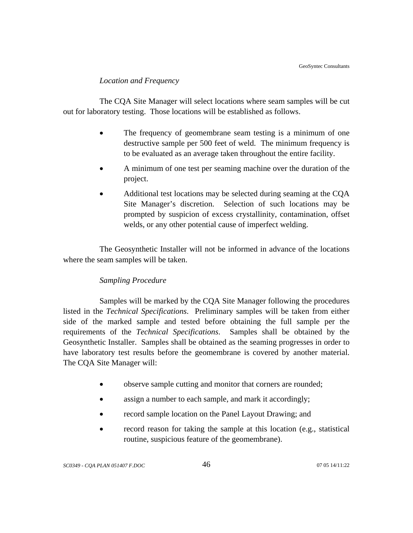### *Location and Frequency*

The CQA Site Manager will select locations where seam samples will be cut out for laboratory testing. Those locations will be established as follows.

- The frequency of geomembrane seam testing is a minimum of one destructive sample per 500 feet of weld. The minimum frequency is to be evaluated as an average taken throughout the entire facility.
- A minimum of one test per seaming machine over the duration of the project.
- Additional test locations may be selected during seaming at the CQA Site Manager's discretion. Selection of such locations may be prompted by suspicion of excess crystallinity, contamination, offset welds, or any other potential cause of imperfect welding.

The Geosynthetic Installer will not be informed in advance of the locations where the seam samples will be taken.

# *Sampling Procedure*

Samples will be marked by the CQA Site Manager following the procedures listed in the *Technical Specifications*. Preliminary samples will be taken from either side of the marked sample and tested before obtaining the full sample per the requirements of the *Technical Specifications*. Samples shall be obtained by the Geosynthetic Installer. Samples shall be obtained as the seaming progresses in order to have laboratory test results before the geomembrane is covered by another material. The CQA Site Manager will:

- observe sample cutting and monitor that corners are rounded;
- assign a number to each sample, and mark it accordingly;
- record sample location on the Panel Layout Drawing; and
- record reason for taking the sample at this location (e.g., statistical routine, suspicious feature of the geomembrane).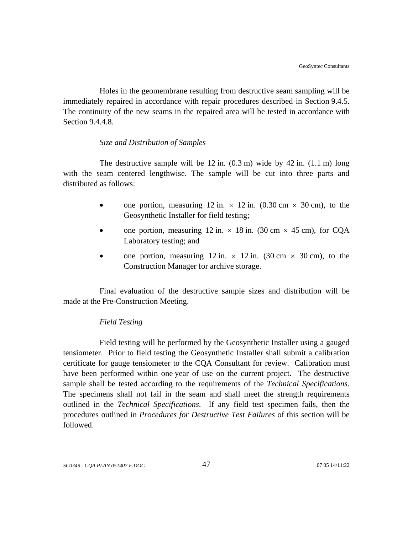Holes in the geomembrane resulting from destructive seam sampling will be immediately repaired in accordance with repair procedures described in Section 9.4.5. The continuity of the new seams in the repaired area will be tested in accordance with Section 9.4.4.8.

## *Size and Distribution of Samples*

The destructive sample will be  $12$  in.  $(0.3 \text{ m})$  wide by  $42$  in.  $(1.1 \text{ m})$  long with the seam centered lengthwise. The sample will be cut into three parts and distributed as follows:

- one portion, measuring 12 in.  $\times$  12 in. (0.30 cm  $\times$  30 cm), to the Geosynthetic Installer for field testing;
- one portion, measuring 12 in.  $\times$  18 in. (30 cm  $\times$  45 cm), for CQA Laboratory testing; and
- one portion, measuring 12 in.  $\times$  12 in. (30 cm  $\times$  30 cm), to the Construction Manager for archive storage.

Final evaluation of the destructive sample sizes and distribution will be made at the Pre-Construction Meeting.

# *Field Testing*

Field testing will be performed by the Geosynthetic Installer using a gauged tensiometer. Prior to field testing the Geosynthetic Installer shall submit a calibration certificate for gauge tensiometer to the CQA Consultant for review. Calibration must have been performed within one year of use on the current project. The destructive sample shall be tested according to the requirements of the *Technical Specifications*. The specimens shall not fail in the seam and shall meet the strength requirements outlined in the *Technical Specifications*. If any field test specimen fails, then the procedures outlined in *Procedures for Destructive Test Failures* of this section will be followed.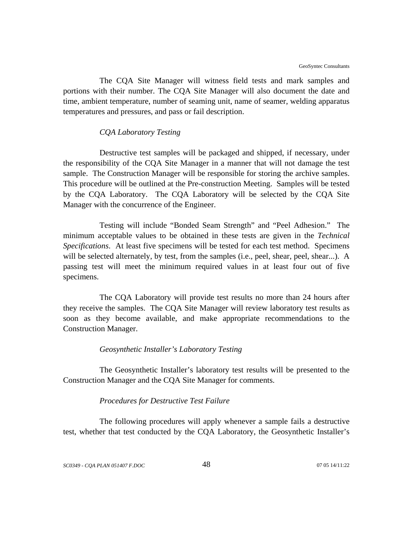The CQA Site Manager will witness field tests and mark samples and portions with their number. The CQA Site Manager will also document the date and time, ambient temperature, number of seaming unit, name of seamer, welding apparatus temperatures and pressures, and pass or fail description.

#### *CQA Laboratory Testing*

Destructive test samples will be packaged and shipped, if necessary, under the responsibility of the CQA Site Manager in a manner that will not damage the test sample. The Construction Manager will be responsible for storing the archive samples. This procedure will be outlined at the Pre-construction Meeting. Samples will be tested by the CQA Laboratory. The CQA Laboratory will be selected by the CQA Site Manager with the concurrence of the Engineer.

Testing will include "Bonded Seam Strength" and "Peel Adhesion." The minimum acceptable values to be obtained in these tests are given in the *Technical Specifications*. At least five specimens will be tested for each test method. Specimens will be selected alternately, by test, from the samples (i.e., peel, shear, peel, shear...). A passing test will meet the minimum required values in at least four out of five specimens.

The CQA Laboratory will provide test results no more than 24 hours after they receive the samples. The CQA Site Manager will review laboratory test results as soon as they become available, and make appropriate recommendations to the Construction Manager.

#### *Geosynthetic Installer's Laboratory Testing*

The Geosynthetic Installer's laboratory test results will be presented to the Construction Manager and the CQA Site Manager for comments.

#### *Procedures for Destructive Test Failure*

The following procedures will apply whenever a sample fails a destructive test, whether that test conducted by the CQA Laboratory, the Geosynthetic Installer's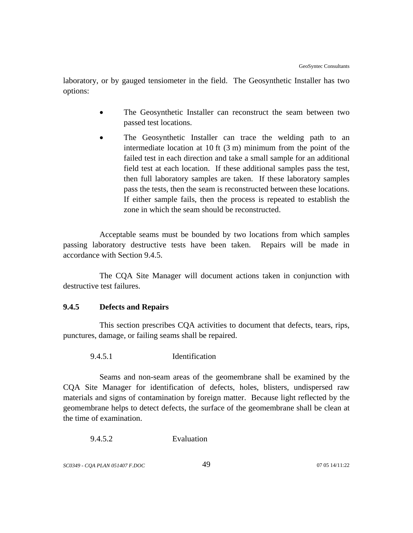laboratory, or by gauged tensiometer in the field. The Geosynthetic Installer has two options:

- The Geosynthetic Installer can reconstruct the seam between two passed test locations.
- The Geosynthetic Installer can trace the welding path to an intermediate location at 10 ft (3 m) minimum from the point of the failed test in each direction and take a small sample for an additional field test at each location. If these additional samples pass the test, then full laboratory samples are taken. If these laboratory samples pass the tests, then the seam is reconstructed between these locations. If either sample fails, then the process is repeated to establish the zone in which the seam should be reconstructed.

Acceptable seams must be bounded by two locations from which samples passing laboratory destructive tests have been taken. Repairs will be made in accordance with Section 9.4.5.

The CQA Site Manager will document actions taken in conjunction with destructive test failures.

# **9.4.5 Defects and Repairs**

This section prescribes CQA activities to document that defects, tears, rips, punctures, damage, or failing seams shall be repaired.

9.4.5.1 Identification

Seams and non-seam areas of the geomembrane shall be examined by the CQA Site Manager for identification of defects, holes, blisters, undispersed raw materials and signs of contamination by foreign matter. Because light reflected by the geomembrane helps to detect defects, the surface of the geomembrane shall be clean at the time of examination.

9.4.5.2 Evaluation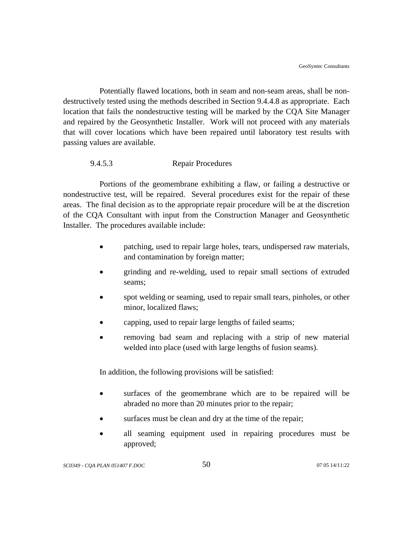Potentially flawed locations, both in seam and non-seam areas, shall be nondestructively tested using the methods described in Section 9.4.4.8 as appropriate. Each location that fails the nondestructive testing will be marked by the CQA Site Manager and repaired by the Geosynthetic Installer. Work will not proceed with any materials that will cover locations which have been repaired until laboratory test results with passing values are available.

## 9.4.5.3 Repair Procedures

Portions of the geomembrane exhibiting a flaw, or failing a destructive or nondestructive test, will be repaired. Several procedures exist for the repair of these areas. The final decision as to the appropriate repair procedure will be at the discretion of the CQA Consultant with input from the Construction Manager and Geosynthetic Installer. The procedures available include:

- patching, used to repair large holes, tears, undispersed raw materials, and contamination by foreign matter;
- grinding and re-welding, used to repair small sections of extruded seams;
- spot welding or seaming, used to repair small tears, pinholes, or other minor, localized flaws;
- capping, used to repair large lengths of failed seams;
- removing bad seam and replacing with a strip of new material welded into place (used with large lengths of fusion seams).

In addition, the following provisions will be satisfied:

- surfaces of the geomembrane which are to be repaired will be abraded no more than 20 minutes prior to the repair;
- surfaces must be clean and dry at the time of the repair;
- all seaming equipment used in repairing procedures must be approved;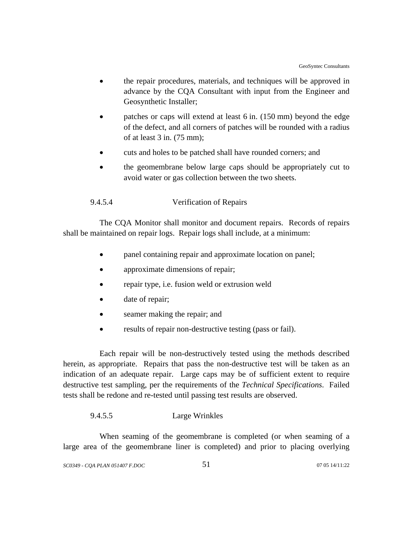- the repair procedures, materials, and techniques will be approved in advance by the CQA Consultant with input from the Engineer and Geosynthetic Installer;
- patches or caps will extend at least 6 in. (150 mm) beyond the edge of the defect, and all corners of patches will be rounded with a radius of at least 3 in. (75 mm);
- cuts and holes to be patched shall have rounded corners; and
- the geomembrane below large caps should be appropriately cut to avoid water or gas collection between the two sheets.

## 9.4.5.4 Verification of Repairs

The CQA Monitor shall monitor and document repairs. Records of repairs shall be maintained on repair logs. Repair logs shall include, at a minimum:

- panel containing repair and approximate location on panel;
- approximate dimensions of repair;
- repair type, i.e. fusion weld or extrusion weld
- date of repair;
- seamer making the repair; and
- results of repair non-destructive testing (pass or fail).

Each repair will be non-destructively tested using the methods described herein, as appropriate. Repairs that pass the non-destructive test will be taken as an indication of an adequate repair. Large caps may be of sufficient extent to require destructive test sampling, per the requirements of the *Technical Specifications*. Failed tests shall be redone and re-tested until passing test results are observed.

### 9.4.5.5 Large Wrinkles

When seaming of the geomembrane is completed (or when seaming of a large area of the geomembrane liner is completed) and prior to placing overlying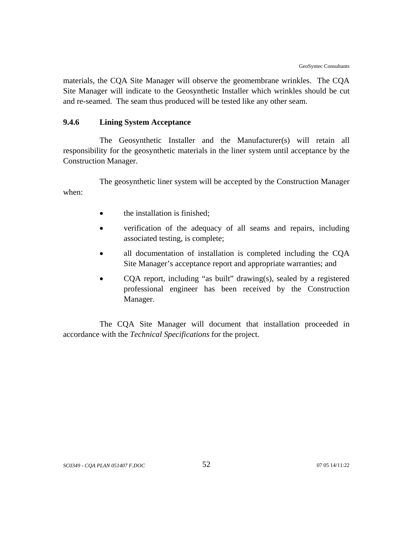materials, the CQA Site Manager will observe the geomembrane wrinkles. The CQA Site Manager will indicate to the Geosynthetic Installer which wrinkles should be cut and re-seamed. The seam thus produced will be tested like any other seam.

## **9.4.6 Lining System Acceptance**

The Geosynthetic Installer and the Manufacturer(s) will retain all responsibility for the geosynthetic materials in the liner system until acceptance by the Construction Manager.

The geosynthetic liner system will be accepted by the Construction Manager when:

- the installation is finished;
- verification of the adequacy of all seams and repairs, including associated testing, is complete;
- all documentation of installation is completed including the CQA Site Manager's acceptance report and appropriate warranties; and
- COA report, including "as built" drawing(s), sealed by a registered professional engineer has been received by the Construction Manager.

The CQA Site Manager will document that installation proceeded in accordance with the *Technical Specifications* for the project.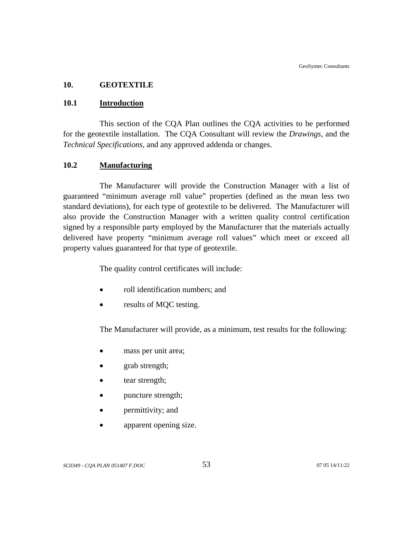### **10. GEOTEXTILE**

### **10.1 Introduction**

This section of the CQA Plan outlines the CQA activities to be performed for the geotextile installation. The CQA Consultant will review the *Drawings*, and the *Technical Specifications*, and any approved addenda or changes.

### **10.2 Manufacturing**

The Manufacturer will provide the Construction Manager with a list of guaranteed "minimum average roll value" properties (defined as the mean less two standard deviations), for each type of geotextile to be delivered. The Manufacturer will also provide the Construction Manager with a written quality control certification signed by a responsible party employed by the Manufacturer that the materials actually delivered have property "minimum average roll values" which meet or exceed all property values guaranteed for that type of geotextile.

The quality control certificates will include:

- roll identification numbers; and
- results of MQC testing.

The Manufacturer will provide, as a minimum, test results for the following:

- mass per unit area;
- grab strength;
- tear strength;
- puncture strength;
- permittivity; and
- apparent opening size.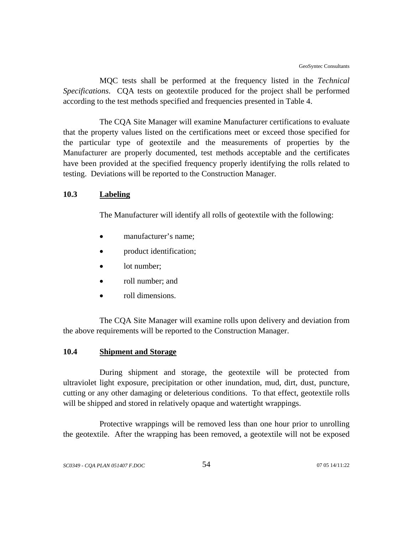MQC tests shall be performed at the frequency listed in the *Technical Specifications*. CQA tests on geotextile produced for the project shall be performed according to the test methods specified and frequencies presented in Table 4.

The CQA Site Manager will examine Manufacturer certifications to evaluate that the property values listed on the certifications meet or exceed those specified for the particular type of geotextile and the measurements of properties by the Manufacturer are properly documented, test methods acceptable and the certificates have been provided at the specified frequency properly identifying the rolls related to testing. Deviations will be reported to the Construction Manager.

#### **10.3 Labeling**

The Manufacturer will identify all rolls of geotextile with the following:

- manufacturer's name;
- product identification;
- lot number;
- roll number; and
- roll dimensions.

The CQA Site Manager will examine rolls upon delivery and deviation from the above requirements will be reported to the Construction Manager.

### **10.4 Shipment and Storage**

During shipment and storage, the geotextile will be protected from ultraviolet light exposure, precipitation or other inundation, mud, dirt, dust, puncture, cutting or any other damaging or deleterious conditions. To that effect, geotextile rolls will be shipped and stored in relatively opaque and watertight wrappings.

Protective wrappings will be removed less than one hour prior to unrolling the geotextile. After the wrapping has been removed, a geotextile will not be exposed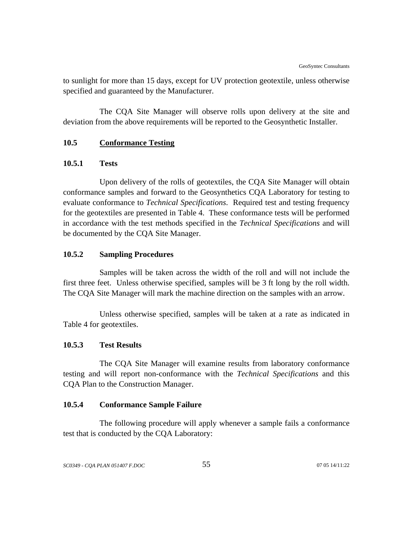to sunlight for more than 15 days, except for UV protection geotextile, unless otherwise specified and guaranteed by the Manufacturer.

The CQA Site Manager will observe rolls upon delivery at the site and deviation from the above requirements will be reported to the Geosynthetic Installer.

## **10.5 Conformance Testing**

### **10.5.1 Tests**

Upon delivery of the rolls of geotextiles, the CQA Site Manager will obtain conformance samples and forward to the Geosynthetics CQA Laboratory for testing to evaluate conformance to *Technical Specifications*. Required test and testing frequency for the geotextiles are presented in Table 4. These conformance tests will be performed in accordance with the test methods specified in the *Technical Specifications* and will be documented by the CQA Site Manager.

#### **10.5.2 Sampling Procedures**

Samples will be taken across the width of the roll and will not include the first three feet. Unless otherwise specified, samples will be 3 ft long by the roll width. The CQA Site Manager will mark the machine direction on the samples with an arrow.

Unless otherwise specified, samples will be taken at a rate as indicated in Table 4 for geotextiles.

# **10.5.3 Test Results**

The CQA Site Manager will examine results from laboratory conformance testing and will report non-conformance with the *Technical Specifications* and this CQA Plan to the Construction Manager.

# **10.5.4 Conformance Sample Failure**

The following procedure will apply whenever a sample fails a conformance test that is conducted by the CQA Laboratory: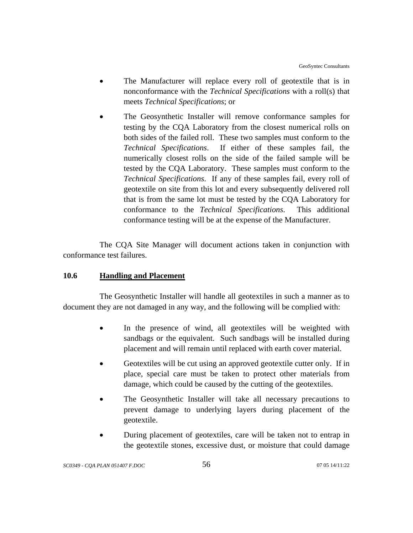- The Manufacturer will replace every roll of geotextile that is in nonconformance with the *Technical Specifications* with a roll(s) that meets *Technical Specifications*; or
- The Geosynthetic Installer will remove conformance samples for testing by the CQA Laboratory from the closest numerical rolls on both sides of the failed roll. These two samples must conform to the *Technical Specifications*. If either of these samples fail, the numerically closest rolls on the side of the failed sample will be tested by the CQA Laboratory. These samples must conform to the *Technical Specifications*. If any of these samples fail, every roll of geotextile on site from this lot and every subsequently delivered roll that is from the same lot must be tested by the CQA Laboratory for conformance to the *Technical Specifications*. This additional conformance testing will be at the expense of the Manufacturer.

The CQA Site Manager will document actions taken in conjunction with conformance test failures.

# **10.6 Handling and Placement**

The Geosynthetic Installer will handle all geotextiles in such a manner as to document they are not damaged in any way, and the following will be complied with:

- In the presence of wind, all geotextiles will be weighted with sandbags or the equivalent. Such sandbags will be installed during placement and will remain until replaced with earth cover material.
- Geotextiles will be cut using an approved geotextile cutter only. If in place, special care must be taken to protect other materials from damage, which could be caused by the cutting of the geotextiles.
- The Geosynthetic Installer will take all necessary precautions to prevent damage to underlying layers during placement of the geotextile.
- During placement of geotextiles, care will be taken not to entrap in the geotextile stones, excessive dust, or moisture that could damage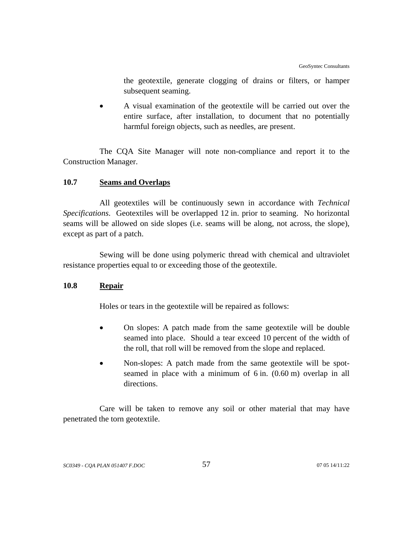the geotextile, generate clogging of drains or filters, or hamper subsequent seaming.

• A visual examination of the geotextile will be carried out over the entire surface, after installation, to document that no potentially harmful foreign objects, such as needles, are present.

The CQA Site Manager will note non-compliance and report it to the Construction Manager.

# **10.7 Seams and Overlaps**

All geotextiles will be continuously sewn in accordance with *Technical Specifications*. Geotextiles will be overlapped 12 in. prior to seaming. No horizontal seams will be allowed on side slopes (i.e. seams will be along, not across, the slope), except as part of a patch.

Sewing will be done using polymeric thread with chemical and ultraviolet resistance properties equal to or exceeding those of the geotextile.

# **10.8 Repair**

Holes or tears in the geotextile will be repaired as follows:

- On slopes: A patch made from the same geotextile will be double seamed into place. Should a tear exceed 10 percent of the width of the roll, that roll will be removed from the slope and replaced.
- Non-slopes: A patch made from the same geotextile will be spotseamed in place with a minimum of 6 in. (0.60 m) overlap in all directions.

Care will be taken to remove any soil or other material that may have penetrated the torn geotextile.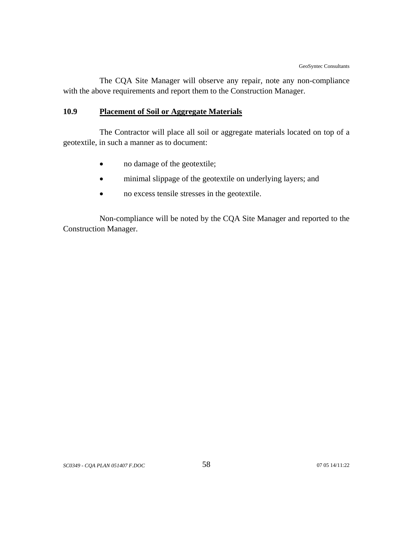The CQA Site Manager will observe any repair, note any non-compliance with the above requirements and report them to the Construction Manager.

# **10.9 Placement of Soil or Aggregate Materials**

The Contractor will place all soil or aggregate materials located on top of a geotextile, in such a manner as to document:

- no damage of the geotextile;
- minimal slippage of the geotextile on underlying layers; and
- no excess tensile stresses in the geotextile.

Non-compliance will be noted by the CQA Site Manager and reported to the Construction Manager.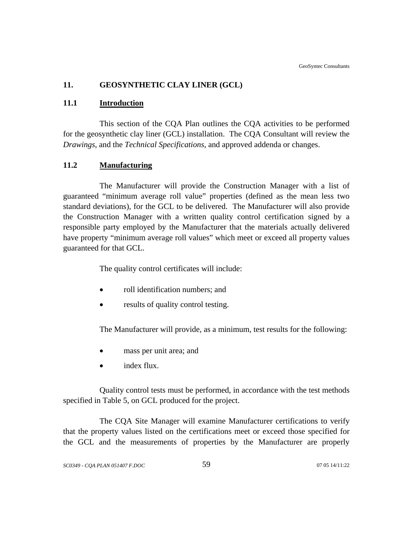# **11. GEOSYNTHETIC CLAY LINER (GCL)**

#### **11.1 Introduction**

This section of the CQA Plan outlines the CQA activities to be performed for the geosynthetic clay liner (GCL) installation. The CQA Consultant will review the *Drawings*, and the *Technical Specifications*, and approved addenda or changes.

### **11.2 Manufacturing**

The Manufacturer will provide the Construction Manager with a list of guaranteed "minimum average roll value" properties (defined as the mean less two standard deviations), for the GCL to be delivered. The Manufacturer will also provide the Construction Manager with a written quality control certification signed by a responsible party employed by the Manufacturer that the materials actually delivered have property "minimum average roll values" which meet or exceed all property values guaranteed for that GCL.

The quality control certificates will include:

- roll identification numbers; and
- results of quality control testing.

The Manufacturer will provide, as a minimum, test results for the following:

- mass per unit area; and
- index flux.

Quality control tests must be performed, in accordance with the test methods specified in Table 5, on GCL produced for the project.

The CQA Site Manager will examine Manufacturer certifications to verify that the property values listed on the certifications meet or exceed those specified for the GCL and the measurements of properties by the Manufacturer are properly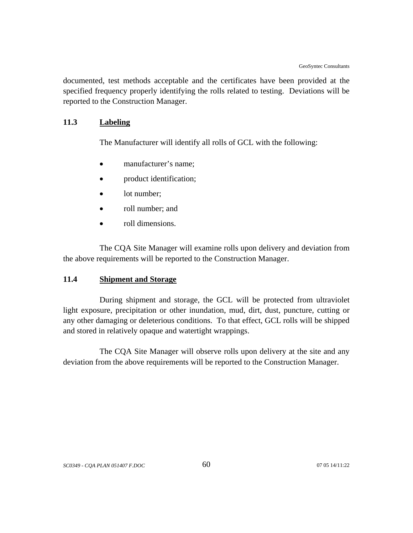documented, test methods acceptable and the certificates have been provided at the specified frequency properly identifying the rolls related to testing. Deviations will be reported to the Construction Manager.

# **11.3 Labeling**

The Manufacturer will identify all rolls of GCL with the following:

- manufacturer's name:
- product identification;
- lot number:
- roll number; and
- roll dimensions.

The CQA Site Manager will examine rolls upon delivery and deviation from the above requirements will be reported to the Construction Manager.

### **11.4 Shipment and Storage**

During shipment and storage, the GCL will be protected from ultraviolet light exposure, precipitation or other inundation, mud, dirt, dust, puncture, cutting or any other damaging or deleterious conditions. To that effect, GCL rolls will be shipped and stored in relatively opaque and watertight wrappings.

The CQA Site Manager will observe rolls upon delivery at the site and any deviation from the above requirements will be reported to the Construction Manager.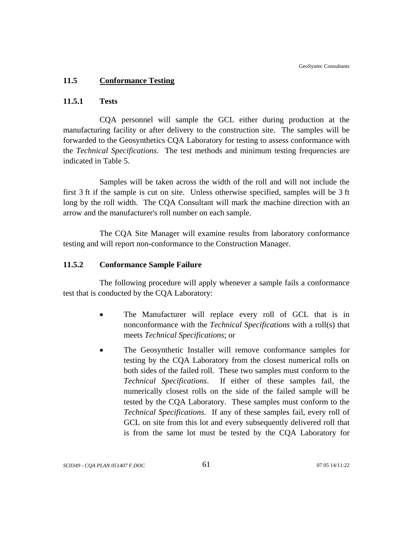### **11.5 Conformance Testing**

## **11.5.1 Tests**

CQA personnel will sample the GCL either during production at the manufacturing facility or after delivery to the construction site. The samples will be forwarded to the Geosynthetics CQA Laboratory for testing to assess conformance with the *Technical Specifications*. The test methods and minimum testing frequencies are indicated in Table 5.

Samples will be taken across the width of the roll and will not include the first 3 ft if the sample is cut on site. Unless otherwise specified, samples will be 3 ft long by the roll width. The CQA Consultant will mark the machine direction with an arrow and the manufacturer's roll number on each sample.

The CQA Site Manager will examine results from laboratory conformance testing and will report non-conformance to the Construction Manager.

### **11.5.2 Conformance Sample Failure**

The following procedure will apply whenever a sample fails a conformance test that is conducted by the CQA Laboratory:

- The Manufacturer will replace every roll of GCL that is in nonconformance with the *Technical Specifications* with a roll(s) that meets *Technical Specifications*; or
- The Geosynthetic Installer will remove conformance samples for testing by the CQA Laboratory from the closest numerical rolls on both sides of the failed roll. These two samples must conform to the *Technical Specifications*. If either of these samples fail, the numerically closest rolls on the side of the failed sample will be tested by the CQA Laboratory. These samples must conform to the *Technical Specifications*. If any of these samples fail, every roll of GCL on site from this lot and every subsequently delivered roll that is from the same lot must be tested by the CQA Laboratory for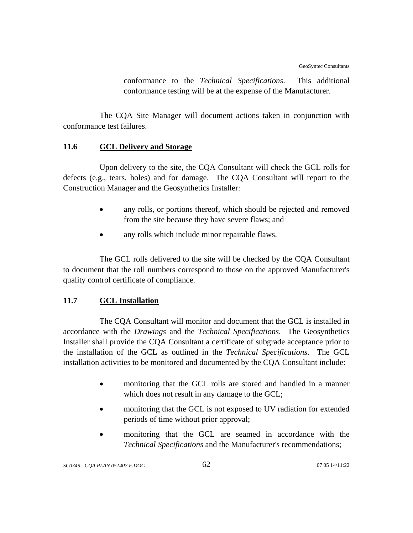conformance to the *Technical Specifications*. This additional conformance testing will be at the expense of the Manufacturer.

The CQA Site Manager will document actions taken in conjunction with conformance test failures.

# **11.6 GCL Delivery and Storage**

Upon delivery to the site, the CQA Consultant will check the GCL rolls for defects (e.g., tears, holes) and for damage. The CQA Consultant will report to the Construction Manager and the Geosynthetics Installer:

- any rolls, or portions thereof, which should be rejected and removed from the site because they have severe flaws; and
- any rolls which include minor repairable flaws.

The GCL rolls delivered to the site will be checked by the CQA Consultant to document that the roll numbers correspond to those on the approved Manufacturer's quality control certificate of compliance.

# **11.7 GCL Installation**

The CQA Consultant will monitor and document that the GCL is installed in accordance with the *Drawings* and the *Technical Specifications*. The Geosynthetics Installer shall provide the CQA Consultant a certificate of subgrade acceptance prior to the installation of the GCL as outlined in the *Technical Specifications*. The GCL installation activities to be monitored and documented by the CQA Consultant include:

- monitoring that the GCL rolls are stored and handled in a manner which does not result in any damage to the GCL;
- monitoring that the GCL is not exposed to UV radiation for extended periods of time without prior approval;
- monitoring that the GCL are seamed in accordance with the *Technical Specifications* and the Manufacturer's recommendations;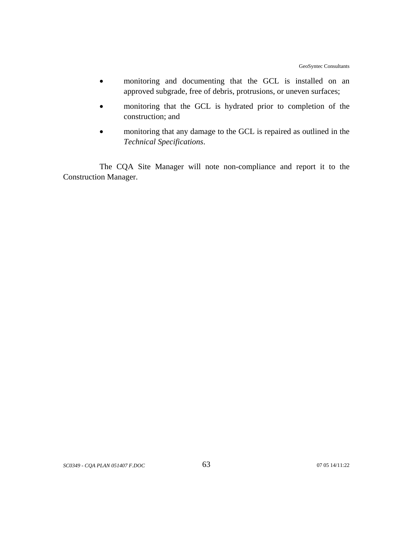- monitoring and documenting that the GCL is installed on an approved subgrade, free of debris, protrusions, or uneven surfaces;
- monitoring that the GCL is hydrated prior to completion of the construction; and
- monitoring that any damage to the GCL is repaired as outlined in the *Technical Specifications*.

The CQA Site Manager will note non-compliance and report it to the Construction Manager.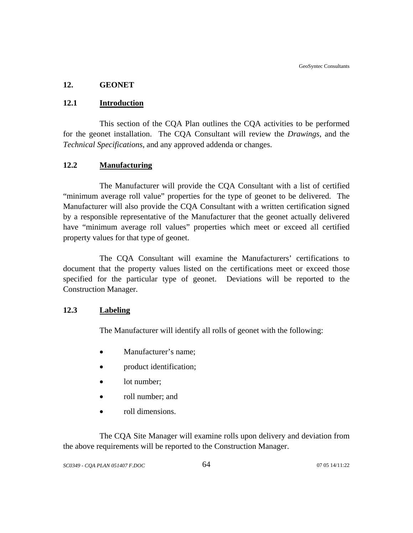## **12. GEONET**

## **12.1 Introduction**

This section of the CQA Plan outlines the CQA activities to be performed for the geonet installation. The CQA Consultant will review the *Drawings*, and the *Technical Specifications*, and any approved addenda or changes.

# **12.2 Manufacturing**

The Manufacturer will provide the CQA Consultant with a list of certified "minimum average roll value" properties for the type of geonet to be delivered. The Manufacturer will also provide the CQA Consultant with a written certification signed by a responsible representative of the Manufacturer that the geonet actually delivered have "minimum average roll values" properties which meet or exceed all certified property values for that type of geonet.

The CQA Consultant will examine the Manufacturers' certifications to document that the property values listed on the certifications meet or exceed those specified for the particular type of geonet. Deviations will be reported to the Construction Manager.

### **12.3 Labeling**

The Manufacturer will identify all rolls of geonet with the following:

- Manufacturer's name;
- product identification;
- lot number;
- roll number; and
- roll dimensions.

The CQA Site Manager will examine rolls upon delivery and deviation from the above requirements will be reported to the Construction Manager.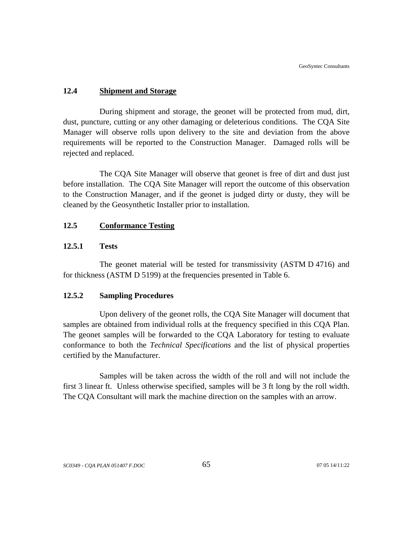## **12.4 Shipment and Storage**

During shipment and storage, the geonet will be protected from mud, dirt, dust, puncture, cutting or any other damaging or deleterious conditions. The CQA Site Manager will observe rolls upon delivery to the site and deviation from the above requirements will be reported to the Construction Manager. Damaged rolls will be rejected and replaced.

The CQA Site Manager will observe that geonet is free of dirt and dust just before installation. The CQA Site Manager will report the outcome of this observation to the Construction Manager, and if the geonet is judged dirty or dusty, they will be cleaned by the Geosynthetic Installer prior to installation.

## **12.5 Conformance Testing**

## **12.5.1 Tests**

The geonet material will be tested for transmissivity (ASTM D 4716) and for thickness (ASTM D 5199) at the frequencies presented in Table 6.

#### **12.5.2 Sampling Procedures**

Upon delivery of the geonet rolls, the CQA Site Manager will document that samples are obtained from individual rolls at the frequency specified in this CQA Plan. The geonet samples will be forwarded to the CQA Laboratory for testing to evaluate conformance to both the *Technical Specifications* and the list of physical properties certified by the Manufacturer.

Samples will be taken across the width of the roll and will not include the first 3 linear ft. Unless otherwise specified, samples will be 3 ft long by the roll width. The CQA Consultant will mark the machine direction on the samples with an arrow.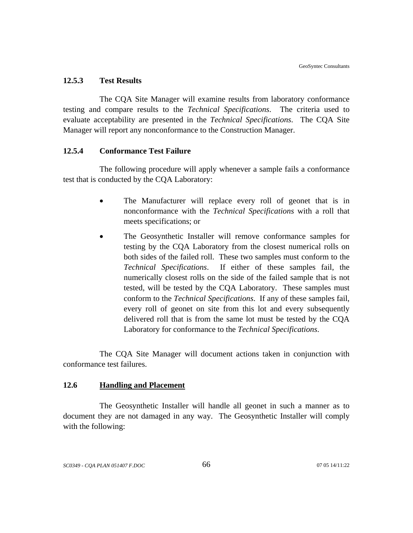#### **12.5.3 Test Results**

The CQA Site Manager will examine results from laboratory conformance testing and compare results to the *Technical Specifications*. The criteria used to evaluate acceptability are presented in the *Technical Specifications*. The CQA Site Manager will report any nonconformance to the Construction Manager.

#### **12.5.4 Conformance Test Failure**

The following procedure will apply whenever a sample fails a conformance test that is conducted by the CQA Laboratory:

- The Manufacturer will replace every roll of geonet that is in nonconformance with the *Technical Specifications* with a roll that meets specifications; or
- The Geosynthetic Installer will remove conformance samples for testing by the CQA Laboratory from the closest numerical rolls on both sides of the failed roll. These two samples must conform to the *Technical Specifications*. If either of these samples fail, the numerically closest rolls on the side of the failed sample that is not tested, will be tested by the CQA Laboratory. These samples must conform to the *Technical Specifications*. If any of these samples fail, every roll of geonet on site from this lot and every subsequently delivered roll that is from the same lot must be tested by the CQA Laboratory for conformance to the *Technical Specifications*.

The CQA Site Manager will document actions taken in conjunction with conformance test failures.

## **12.6 Handling and Placement**

The Geosynthetic Installer will handle all geonet in such a manner as to document they are not damaged in any way. The Geosynthetic Installer will comply with the following: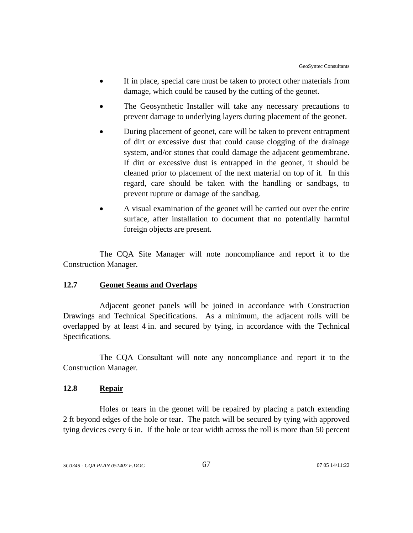- If in place, special care must be taken to protect other materials from damage, which could be caused by the cutting of the geonet.
- The Geosynthetic Installer will take any necessary precautions to prevent damage to underlying layers during placement of the geonet.
- During placement of geonet, care will be taken to prevent entrapment of dirt or excessive dust that could cause clogging of the drainage system, and/or stones that could damage the adjacent geomembrane. If dirt or excessive dust is entrapped in the geonet, it should be cleaned prior to placement of the next material on top of it. In this regard, care should be taken with the handling or sandbags, to prevent rupture or damage of the sandbag.
- A visual examination of the geonet will be carried out over the entire surface, after installation to document that no potentially harmful foreign objects are present.

The CQA Site Manager will note noncompliance and report it to the Construction Manager.

## **12.7 Geonet Seams and Overlaps**

Adjacent geonet panels will be joined in accordance with Construction Drawings and Technical Specifications. As a minimum, the adjacent rolls will be overlapped by at least 4 in. and secured by tying, in accordance with the Technical Specifications.

The CQA Consultant will note any noncompliance and report it to the Construction Manager.

## **12.8 Repair**

Holes or tears in the geonet will be repaired by placing a patch extending 2 ft beyond edges of the hole or tear. The patch will be secured by tying with approved tying devices every 6 in. If the hole or tear width across the roll is more than 50 percent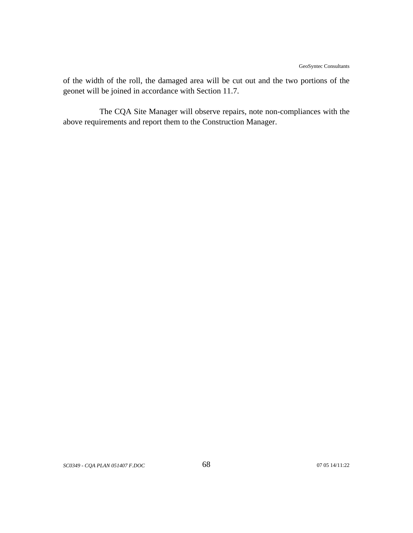of the width of the roll, the damaged area will be cut out and the two portions of the geonet will be joined in accordance with Section 11.7.

The CQA Site Manager will observe repairs, note non-compliances with the above requirements and report them to the Construction Manager.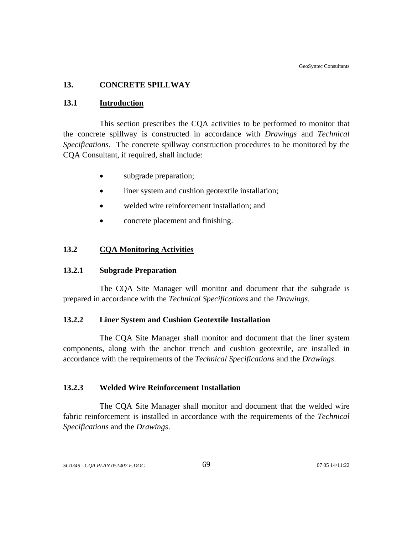## **13. CONCRETE SPILLWAY**

#### **13.1 Introduction**

This section prescribes the CQA activities to be performed to monitor that the concrete spillway is constructed in accordance with *Drawings* and *Technical Specifications*. The concrete spillway construction procedures to be monitored by the CQA Consultant, if required, shall include:

- subgrade preparation;
- liner system and cushion geotextile installation;
- welded wire reinforcement installation; and
- concrete placement and finishing.

#### **13.2 CQA Monitoring Activities**

### **13.2.1 Subgrade Preparation**

The CQA Site Manager will monitor and document that the subgrade is prepared in accordance with the *Technical Specifications* and the *Drawings*.

## **13.2.2 Liner System and Cushion Geotextile Installation**

 The CQA Site Manager shall monitor and document that the liner system components, along with the anchor trench and cushion geotextile, are installed in accordance with the requirements of the *Technical Specifications* and the *Drawings*.

## **13.2.3 Welded Wire Reinforcement Installation**

The CQA Site Manager shall monitor and document that the welded wire fabric reinforcement is installed in accordance with the requirements of the *Technical Specifications* and the *Drawings*.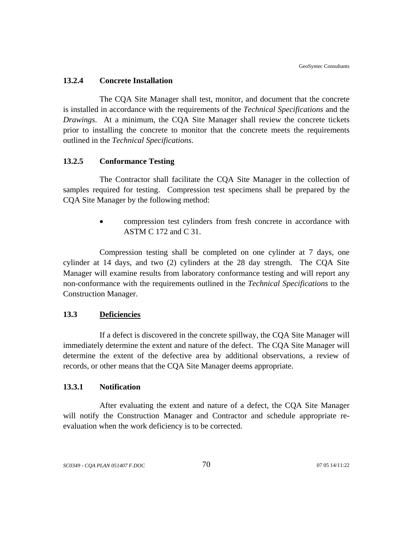#### **13.2.4 Concrete Installation**

The CQA Site Manager shall test, monitor, and document that the concrete is installed in accordance with the requirements of the *Technical Specifications* and the *Drawings*. At a minimum, the CQA Site Manager shall review the concrete tickets prior to installing the concrete to monitor that the concrete meets the requirements outlined in the *Technical Specifications*.

#### **13.2.5 Conformance Testing**

The Contractor shall facilitate the CQA Site Manager in the collection of samples required for testing. Compression test specimens shall be prepared by the CQA Site Manager by the following method:

> • compression test cylinders from fresh concrete in accordance with ASTM C 172 and C 31.

Compression testing shall be completed on one cylinder at 7 days, one cylinder at 14 days, and two (2) cylinders at the 28 day strength. The CQA Site Manager will examine results from laboratory conformance testing and will report any non-conformance with the requirements outlined in the *Technical Specifications* to the Construction Manager.

## **13.3 Deficiencies**

If a defect is discovered in the concrete spillway, the CQA Site Manager will immediately determine the extent and nature of the defect. The CQA Site Manager will determine the extent of the defective area by additional observations, a review of records, or other means that the CQA Site Manager deems appropriate.

## **13.3.1 Notification**

After evaluating the extent and nature of a defect, the CQA Site Manager will notify the Construction Manager and Contractor and schedule appropriate reevaluation when the work deficiency is to be corrected.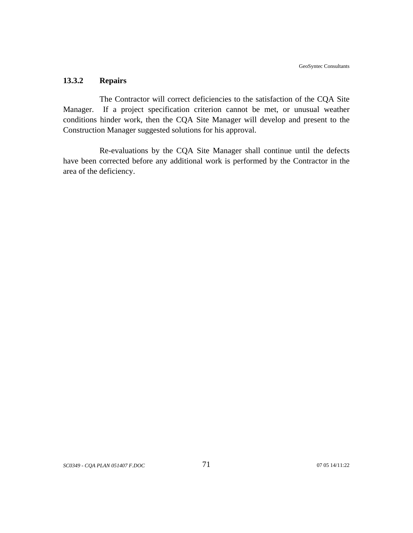## **13.3.2 Repairs**

The Contractor will correct deficiencies to the satisfaction of the CQA Site Manager. If a project specification criterion cannot be met, or unusual weather conditions hinder work, then the CQA Site Manager will develop and present to the Construction Manager suggested solutions for his approval.

Re-evaluations by the CQA Site Manager shall continue until the defects have been corrected before any additional work is performed by the Contractor in the area of the deficiency.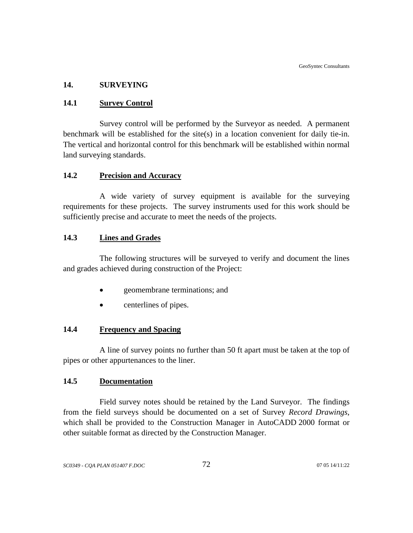## **14. SURVEYING**

#### **14.1 Survey Control**

Survey control will be performed by the Surveyor as needed. A permanent benchmark will be established for the site(s) in a location convenient for daily tie-in. The vertical and horizontal control for this benchmark will be established within normal land surveying standards.

## **14.2 Precision and Accuracy**

A wide variety of survey equipment is available for the surveying requirements for these projects. The survey instruments used for this work should be sufficiently precise and accurate to meet the needs of the projects.

## **14.3 Lines and Grades**

The following structures will be surveyed to verify and document the lines and grades achieved during construction of the Project:

- geomembrane terminations; and
- centerlines of pipes.

## **14.4 Frequency and Spacing**

A line of survey points no further than 50 ft apart must be taken at the top of pipes or other appurtenances to the liner.

## **14.5 Documentation**

Field survey notes should be retained by the Land Surveyor. The findings from the field surveys should be documented on a set of Survey *Record Drawings*, which shall be provided to the Construction Manager in AutoCADD 2000 format or other suitable format as directed by the Construction Manager.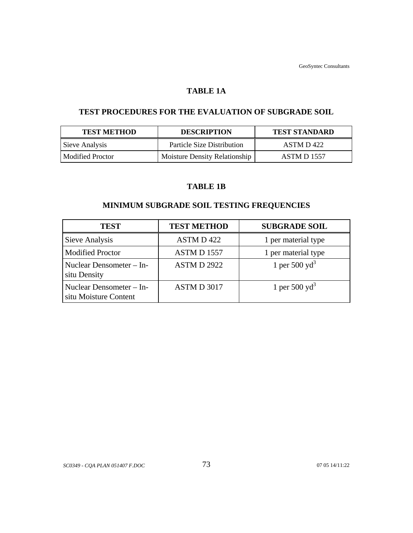### **TABLE 1A**

## **TEST PROCEDURES FOR THE EVALUATION OF SUBGRADE SOIL**

| <b>TEST METHOD</b> | <b>DESCRIPTION</b>                   | <b>TEST STANDARD</b> |
|--------------------|--------------------------------------|----------------------|
| Sieve Analysis     | <b>Particle Size Distribution</b>    | ASTM D 422           |
| Modified Proctor   | <b>Moisture Density Relationship</b> | ASTM D 1557          |

## **TABLE 1B**

# **MINIMUM SUBGRADE SOIL TESTING FREQUENCIES**

| <b>TEST</b>                                       | <b>TEST METHOD</b>    | <b>SUBGRADE SOIL</b>      |
|---------------------------------------------------|-----------------------|---------------------------|
| Sieve Analysis                                    | ASTM D 422            | 1 per material type       |
| <b>Modified Proctor</b>                           | ASTMD <sub>1557</sub> | 1 per material type       |
| Nuclear Densometer – In-<br>situ Density          | <b>ASTM D 2922</b>    | 1 per 500 $yd^3$          |
| Nuclear Densometer – In-<br>situ Moisture Content | ASTM D 3017           | 1 per 500 yd <sup>3</sup> |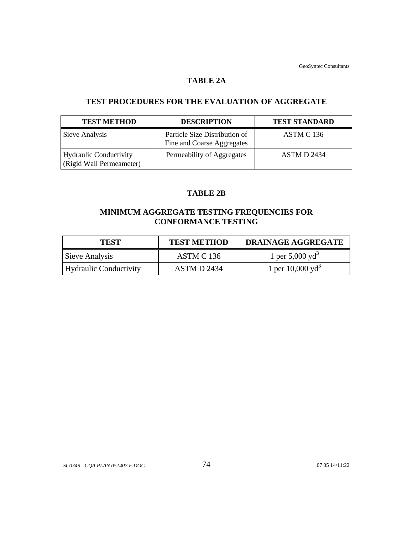#### **TABLE 2A**

# **TEST PROCEDURES FOR THE EVALUATION OF AGGREGATE**

| <b>TEST METHOD</b>                                        | <b>DESCRIPTION</b>                                          | <b>TEST STANDARD</b> |
|-----------------------------------------------------------|-------------------------------------------------------------|----------------------|
| Sieve Analysis                                            | Particle Size Distribution of<br>Fine and Coarse Aggregates | ASTM C 136           |
| <b>Hydraulic Conductivity</b><br>(Rigid Wall Permeameter) | Permeability of Aggregates                                  | ASTM D 2434          |

## **TABLE 2B**

# **MINIMUM AGGREGATE TESTING FREQUENCIES FOR CONFORMANCE TESTING**

| <b>TEST</b>            | <b>TEST METHOD</b> | DRAINAGE AGGREGATE          |
|------------------------|--------------------|-----------------------------|
| Sieve Analysis         | ASTM C 136         | 1 per 5,000 yd <sup>3</sup> |
| Hydraulic Conductivity | ASTM D 2434        | 1 per $10,000 \text{ yd}^3$ |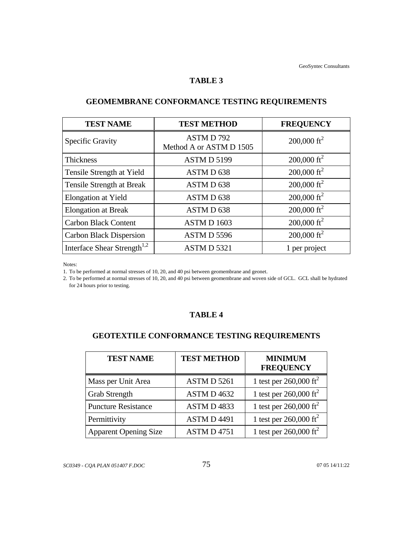#### **TABLE 3**

| <b>TEST NAME</b>                        | <b>TEST METHOD</b>                  | <b>FREQUENCY</b>        |
|-----------------------------------------|-------------------------------------|-------------------------|
| <b>Specific Gravity</b>                 | ASTMD792<br>Method A or ASTM D 1505 | 200,000 ft <sup>2</sup> |
| <b>Thickness</b>                        | ASTMD 5199                          | 200,000 ft <sup>2</sup> |
| Tensile Strength at Yield               | ASTM D 638                          | 200,000 ft <sup>2</sup> |
| Tensile Strength at Break               | ASTMD 638                           | 200,000 ft <sup>2</sup> |
| Elongation at Yield                     | ASTMD 638                           | 200,000 ft <sup>2</sup> |
| <b>Elongation at Break</b>              | ASTMD 638                           | $200,000 \text{ ft}^2$  |
| <b>Carbon Black Content</b>             | ASTMD 1603                          | 200,000 ft <sup>2</sup> |
| <b>Carbon Black Dispersion</b>          | ASTMD 5596                          | 200,000 ft <sup>2</sup> |
| Interface Shear Strength <sup>1,2</sup> | ASTMD 5321                          | 1 per project           |

# **GEOMEMBRANE CONFORMANCE TESTING REQUIREMENTS**

Notes:

1. To be performed at normal stresses of 10, 20, and 40 psi between geomembrane and geonet.

2. To be performed at normal stresses of 10, 20, and 40 psi between geomembrane and woven side of GCL. GCL shall be hydrated for 24 hours prior to testing.

## **TABLE 4**

# **GEOTEXTILE CONFORMANCE TESTING REQUIREMENTS**

| <b>TEST NAME</b>             | <b>TEST METHOD</b> | <b>MINIMUM</b><br><b>FREQUENCY</b> |
|------------------------------|--------------------|------------------------------------|
| Mass per Unit Area           | ASTM D 5261        | 1 test per $260,000 \text{ ft}^2$  |
| <b>Grab Strength</b>         | ASTM D 4632        | 1 test per 260,000 ft <sup>2</sup> |
| <b>Puncture Resistance</b>   | ASTMD4833          | 1 test per $260,000 \text{ ft}^2$  |
| Permittivity                 | <b>ASTMD4491</b>   | 1 test per $260,000 \text{ ft}^2$  |
| <b>Apparent Opening Size</b> | <b>ASTM D 4751</b> | 1 test per 260,000 ft <sup>2</sup> |